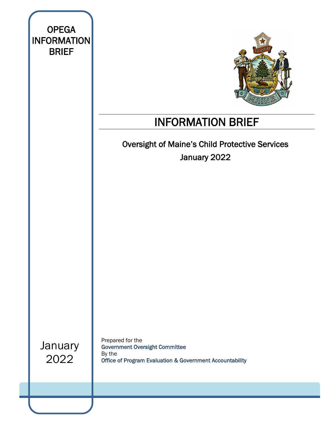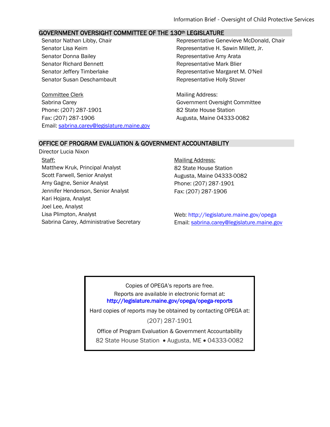### GOVERNMENT OVERSIGHT COMMITTEE OF THE 130th LEGISLATURE **.**

Senator Donna Bailey **Representative Amy Arata** Senator Richard Bennett **Representative Mark Blier** Representative Mark Blier Senator Susan Deschambault **Representative Holly Stover** 

Committee Clerk **Mailing Address:** Sabrina Carey Government Oversight Committee Phone: (207) 287-1901 82 State House Station Fax: (207) 287-1906 Augusta, Maine 04333-0082 Email[: sabrina.carey@legislature.maine.gov](mailto:sabrina.carey@legislature.maine.gov)

Senator Nathan Libby, Chair **Representative Genevieve McDonald, Chair** Representative Genevieve McDonald, Chair Senator Lisa Keim **Representative H. Sawin Millett**, Jr. Senator Jeffery Timberlake **Representative Margaret M. O'Neil** 

### OFFICE OF PROGRAM EVALUATION & GOVERNMENT ACCOUNTABILITY

Director Lucia Nixon Staff: Staff: And The Mailing Address: Mailing Address: Mailing Address: And The Mailing Address: And The Mailing Address: And The Mailing Address: And The Mailing Address: And The Mailing Address: And The Mailing Address: Matthew Kruk, Principal Analyst 82 State House Station Scott Farwell, Senior Analyst **Augusta, Maine 04333-0082** Amy Gagne, Senior Analyst **Phone: (207)** 287-1901 Jennifer Henderson, Senior Analyst Fax: (207) 287-1906 Kari Hojara, Analyst Joel Lee, Analyst

Lisa Plimpton, Analyst Web: http://legislature.maine.gov/opega Sabrina Carey, Administrative Secretary **Email:** sabrina.carey@legislature.maine.gov

> Copies of OPEGA's reports are free. Reports are available in electronic format at: http://legislature.maine.gov/opega/opega-reports

Hard copies of reports may be obtained by contacting OPEGA at:

(207) 287-1901

Office of Program Evaluation & Government Accountability 82 State House Station • Augusta, ME • 04333-0082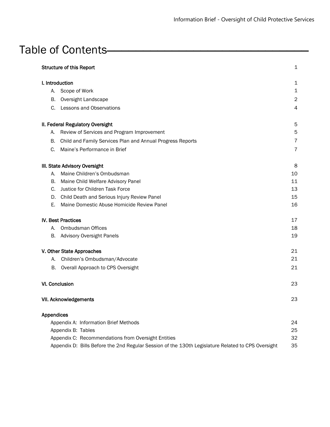# Table of Contents-

|                 | <b>Structure of this Report</b>                                                                    | 1              |
|-----------------|----------------------------------------------------------------------------------------------------|----------------|
| I. Introduction |                                                                                                    | 1              |
| А.              | Scope of Work                                                                                      | $\mathbf{1}$   |
| В.              | Oversight Landscape                                                                                | $\overline{2}$ |
| C.              | <b>Lessons and Observations</b>                                                                    | 4              |
|                 | II. Federal Regulatory Oversight                                                                   | 5              |
| А.              | Review of Services and Program Improvement                                                         | 5              |
| В.              | Child and Family Services Plan and Annual Progress Reports                                         | $\overline{7}$ |
| C.              | Maine's Performance in Brief                                                                       | $\overline{7}$ |
|                 | III. State Advisory Oversight                                                                      | 8              |
| А.              | Maine Children's Ombudsman                                                                         | 10             |
| В.              | Maine Child Welfare Advisory Panel                                                                 | 11             |
| C.              | Justice for Children Task Force                                                                    | 13             |
|                 | D. Child Death and Serious Injury Review Panel                                                     | 15             |
| Е.              | Maine Domestic Abuse Homicide Review Panel                                                         | 16             |
|                 | <b>IV. Best Practices</b>                                                                          | 17             |
| А.              | <b>Ombudsman Offices</b>                                                                           | 18             |
| В.              | <b>Advisory Oversight Panels</b>                                                                   | 19             |
|                 | V. Other State Approaches                                                                          | 21             |
| А.              | Children's Ombudsman/Advocate                                                                      | 21             |
| В.              | Overall Approach to CPS Oversight                                                                  | 21             |
| VI. Conclusion  |                                                                                                    | 23             |
|                 | VII. Acknowledgements                                                                              | 23             |
| Appendices      |                                                                                                    |                |
|                 | Appendix A: Information Brief Methods                                                              | 24             |
|                 | Appendix B: Tables                                                                                 | 25             |
|                 | Appendix C: Recommendations from Oversight Entities                                                | 32             |
|                 | Appendix D: Bills Before the 2nd Regular Session of the 130th Legislature Related to CPS Oversight | 35             |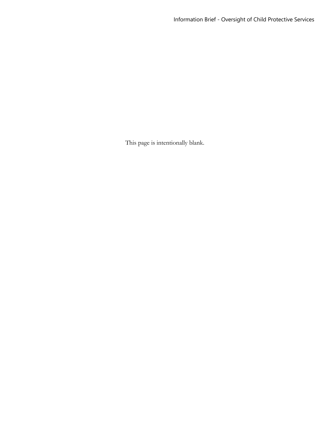This page is intentionally blank.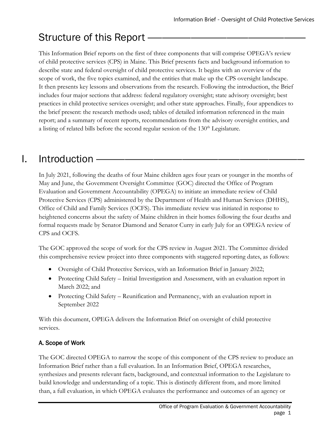# Structure of this Report –

This Information Brief reports on the first of three components that will comprise OPEGA's review of child protective services (CPS) in Maine. This Brief presents facts and background information to describe state and federal oversight of child protective services. It begins with an overview of the scope of work, the five topics examined, and the entities that make up the CPS oversight landscape. It then presents key lessons and observations from the research. Following the introduction, the Brief includes four major sections that address: federal regulatory oversight; state advisory oversight; best practices in child protective services oversight; and other state approaches. Finally, four appendices to the brief present: the research methods used; tables of detailed information referenced in the main report; and a summary of recent reports, recommendations from the advisory oversight entities, and a listing of related bills before the second regular session of the  $130<sup>th</sup>$  Legislature.

# **I.** Introduction -

In July 2021, following the deaths of four Maine children ages four years or younger in the months of May and June, the Government Oversight Committee (GOC) directed the Office of Program Evaluation and Government Accountability (OPEGA) to initiate an immediate review of Child Protective Services (CPS) administered by the Department of Health and Human Services (DHHS), Office of Child and Family Services (OCFS). This immediate review was initiated in response to heightened concerns about the safety of Maine children in their homes following the four deaths and formal requests made by Senator Diamond and Senator Curry in early July for an OPEGA review of CPS and OCFS.

The GOC approved the scope of work for the CPS review in August 2021. The Committee divided this comprehensive review project into three components with staggered reporting dates, as follows:

- Oversight of Child Protective Services, with an Information Brief in January 2022;
- Protecting Child Safety Initial Investigation and Assessment, with an evaluation report in March 2022; and
- Protecting Child Safety Reunification and Permanency, with an evaluation report in September 2022

With this document, OPEGA delivers the Information Brief on oversight of child protective services.

## A. Scope of Work

The GOC directed OPEGA to narrow the scope of this component of the CPS review to produce an Information Brief rather than a full evaluation. In an Information Brief, OPEGA researches, synthesizes and presents relevant facts, background, and contextual information to the Legislature to build knowledge and understanding of a topic. This is distinctly different from, and more limited than, a full evaluation, in which OPEGA evaluates the performance and outcomes of an agency or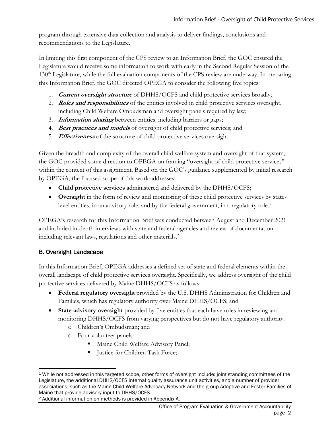program through extensive data collection and analysis to deliver findings, conclusions and recommendations to the Legislature.

In limiting this first component of the CPS review to an Information Brief, the GOC ensured the Legislature would receive some information to work with early in the Second Regular Session of the 130<sup>th</sup> Legislature, while the full evaluation components of the CPS review are underway. In preparing this Information Brief, the GOC directed OPEGA to consider the following five topics:

- 1. **Current oversight structure** of DHHS/OCFS and child protective services broadly;
- 2. **Roles and responsibilities** of the entities involved in child protective services oversight, including Child Welfare Ombudsman and oversight panels required by law;
- 3. **Information sharing** between entities*,* including barriers or gaps;
- 4. **Best practices and models** of oversight of child protective services; and
- 5. **Effectiveness** of the structure of child protective services oversight.

Given the breadth and complexity of the overall child welfare system and oversight of that system, the GOC provided some direction to OPEGA on framing "oversight of child protective services" within the context of this assignment. Based on the GOC's guidance supplemented by initial research by OPEGA, the focused scope of this work addresses:

- **Child protective services** administered and delivered by the DHHS/OCFS;
- **Oversight** in the form of review and monitoring of these child protective services by statelevel entities, in an advisory role, and by the federal government, in a regulatory role.<sup>1</sup>

OPEGA's research for this Information Brief was conducted between August and December 2021 and included in-depth interviews with state and federal agencies and review of documentation including relevant laws, regulations and other materials.<sup>2</sup>

## B. Oversight Landscape

In this Information Brief, OPEGA addresses a defined set of state and federal elements within the overall landscape of child protective services oversight. Specifically, we address oversight of the child protective services delivered by Maine DHHS/OCFS as follows:

- **Federal regulatory oversight** provided by the U.S. DHHS Administration for Children and Families, which has regulatory authority over Maine DHHS/OCFS; and
- **State advisory oversight** provided by five entities that each have roles in reviewing and monitoring DHHS/OCFS from varying perspectives but do not have regulatory authority.
	- o Children's Ombudsman; and
	- o Four volunteer panels:
		- Maine Child Welfare Advisory Panel;
		- Justice for Children Task Force;

<sup>2</sup> Additional information on methods is provided in Appendix A.

 $\overline{a}$ <sup>1</sup> While not addressed in this targeted scope, other forms of oversight include: joint standing committees of the Legislature, the additional DHHS/OCFS internal quality assurance unit activities, and a number of provider associations, such as the Maine Child Welfare Advocacy Network and the group Adoptive and Foster Families of Maine that provide advisory input to DHHS/OCFS.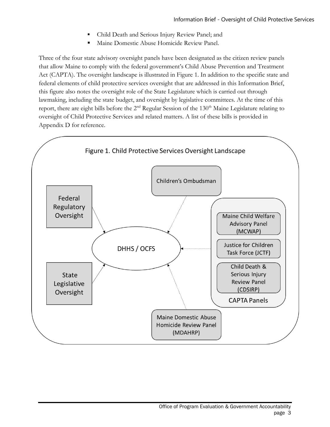- Child Death and Serious Injury Review Panel; and
- Maine Domestic Abuse Homicide Review Panel.

Three of the four state advisory oversight panels have been designated as the citizen review panels that allow Maine to comply with the federal government's Child Abuse Prevention and Treatment Act (CAPTA). The oversight landscape is illustrated in Figure 1. In addition to the specific state and federal elements of child protective services oversight that are addressed in this Information Brief, this figure also notes the oversight role of the State Legislature which is carried out through lawmaking, including the state budget, and oversight by legislative committees. At the time of this report, there are eight bills before the 2<sup>nd</sup> Regular Session of the 130<sup>th</sup> Maine Legislature relating to oversight of Child Protective Services and related matters. A list of these bills is provided in Appendix D for reference.

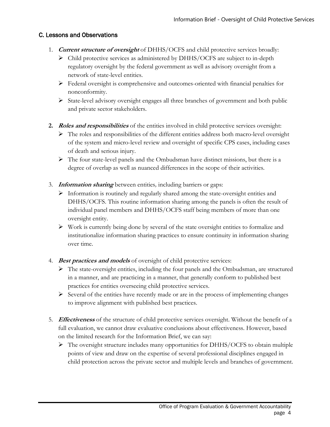### C. Lessons and Observations

- 1. **Current structure of oversight** of DHHS/OCFS and child protective services broadly:
	- ➢ Child protective services as administered by DHHS/OCFS are subject to in-depth regulatory oversight by the federal government as well as advisory oversight from a network of state-level entities.
	- $\triangleright$  Federal oversight is comprehensive and outcomes-oriented with financial penalties for nonconformity.
	- ➢ State-level advisory oversight engages all three branches of government and both public and private sector stakeholders.
- **2. Roles and responsibilities** of the entities involved in child protective services oversight:
	- $\triangleright$  The roles and responsibilities of the different entities address both macro-level oversight of the system and micro-level review and oversight of specific CPS cases, including cases of death and serious injury.
	- ➢ The four state-level panels and the Ombudsman have distinct missions, but there is a degree of overlap as well as nuanced differences in the scope of their activities.
- 3. **Information sharing** between entities*,* including barriers or gaps:
	- $\triangleright$  Information is routinely and regularly shared among the state-oversight entities and DHHS/OCFS. This routine information sharing among the panels is often the result of individual panel members and DHHS/OCFS staff being members of more than one oversight entity.
	- $\triangleright$  Work is currently being done by several of the state oversight entities to formalize and institutionalize information sharing practices to ensure continuity in information sharing over time.
- 4. **Best practices and models** of oversight of child protective services:
	- $\triangleright$  The state-oversight entities, including the four panels and the Ombudsman, are structured in a manner, and are practicing in a manner, that generally conform to published best practices for entities overseeing child protective services.
	- ➢ Several of the entities have recently made or are in the process of implementing changes to improve alignment with published best practices.
- 5. **Effectiveness** of the structure of child protective services oversight. Without the benefit of a full evaluation, we cannot draw evaluative conclusions about effectiveness. However, based on the limited research for the Information Brief, we can say:
	- ➢ The oversight structure includes many opportunities for DHHS/OCFS to obtain multiple points of view and draw on the expertise of several professional disciplines engaged in child protection across the private sector and multiple levels and branches of government.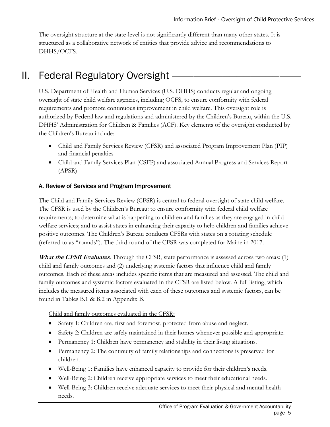The oversight structure at the state-level is not significantly different than many other states. It is structured as a collaborative network of entities that provide advice and recommendations to DHHS/OCFS.

## II. Federal Regulatory Oversight -

U.S. Department of Health and Human Services (U.S. DHHS) conducts regular and ongoing oversight of state child welfare agencies, including OCFS, to ensure conformity with federal requirements and promote continuous improvement in child welfare. This oversight role is authorized by Federal law and regulations and administered by the Children's Bureau, within the U.S. DHHS' Administration for Children & Families (ACF). Key elements of the oversight conducted by the Children's Bureau include:

- Child and Family Services Review (CFSR) and associated Program Improvement Plan (PIP) and financial penalties
- Child and Family Services Plan (CSFP) and associated Annual Progress and Services Report (APSR)

## A. Review of Services and Program Improvement

The Child and Family Services Review (CFSR) is central to federal oversight of state child welfare. The CFSR is used by the Children's Bureau: to ensure conformity with federal child welfare requirements; to determine what is happening to children and families as they are engaged in child welfare services; and to assist states in enhancing their capacity to help children and families achieve positive outcomes. The Children's Bureau conducts CFSRs with states on a rotating schedule (referred to as "rounds"). The third round of the CFSR was completed for Maine in 2017.

**What the CFSR Evaluates.** Through the CFSR, state performance is assessed across two areas: (1) child and family outcomes and (2) underlying systemic factors that influence child and family outcomes. Each of these areas includes specific items that are measured and assessed. The child and family outcomes and systemic factors evaluated in the CFSR are listed below. A full listing, which includes the measured items associated with each of these outcomes and systemic factors, can be found in Tables B.1 & B.2 in Appendix B.

Child and family outcomes evaluated in the CFSR:

- Safety 1: Children are, first and foremost, protected from abuse and neglect.
- Safety 2: Children are safely maintained in their homes whenever possible and appropriate.
- Permanency 1: Children have permanency and stability in their living situations.
- Permanency 2: The continuity of family relationships and connections is preserved for children.
- Well-Being 1: Families have enhanced capacity to provide for their children's needs.
- Well-Being 2: Children receive appropriate services to meet their educational needs.
- Well-Being 3: Children receive adequate services to meet their physical and mental health needs.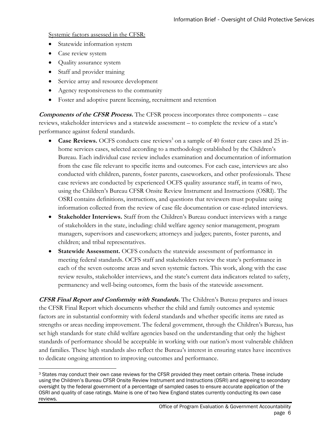Systemic factors assessed in the CFSR:

- Statewide information system
- Case review system

 $\overline{a}$ 

- Quality assurance system
- Staff and provider training
- Service array and resource development
- Agency responsiveness to the community
- Foster and adoptive parent licensing, recruitment and retention

**Components of the CFSR Process.** The CFSR process incorporates three components – case reviews, stakeholder interviews and a statewide assessment – to complete the review of a state's performance against federal standards.

- Case Reviews. OCFS conducts case reviews<sup>3</sup> on a sample of 40 foster care cases and 25 inhome services cases, selected according to a methodology established by the Children's Bureau. Each individual case review includes examination and documentation of information from the case file relevant to specific items and outcomes. For each case, interviews are also conducted with children, parents, foster parents, caseworkers, and other professionals. These case reviews are conducted by experienced OCFS quality assurance staff, in teams of two, using the Children's Bureau CFSR Onsite Review Instrument and Instructions (OSRI). The OSRI contains definitions, instructions, and questions that reviewers must populate using information collected from the review of case file documentation or case-related interviews.
- **Stakeholder Interviews.** Staff from the Children's Bureau conduct interviews with a range of stakeholders in the state, including: child welfare agency senior management, program managers, supervisors and caseworkers; attorneys and judges; parents, foster parents, and children; and tribal representatives.
- **Statewide Assessment.** OCFS conducts the statewide assessment of performance in meeting federal standards. OCFS staff and stakeholders review the state's performance in each of the seven outcome areas and seven systemic factors. This work, along with the case review results, stakeholder interviews, and the state's current data indicators related to safety, permanency and well-being outcomes, form the basis of the statewide assessment.

**CFSR Final Report and Conformity with Standards.** The Children's Bureau prepares and issues the CFSR Final Report which documents whether the child and family outcomes and systemic factors are in substantial conformity with federal standards and whether specific items are rated as strengths or areas needing improvement. The federal government, through the Children's Bureau, has set high standards for state child welfare agencies based on the understanding that only the highest standards of performance should be acceptable in working with our nation's most vulnerable children and families. These high standards also reflect the Bureau's interest in ensuring states have incentives to dedicate ongoing attention to improving outcomes and performance.

<sup>&</sup>lt;sup>3</sup> States may conduct their own case reviews for the CFSR provided they meet certain criteria. These include using the Children's Bureau CFSR Onsite Review Instrument and Instructions (OSRI) and agreeing to secondary oversight by the federal government of a percentage of sampled cases to ensure accurate application of the OSRI and quality of case ratings. Maine is one of two New England states currently conducting its own case reviews.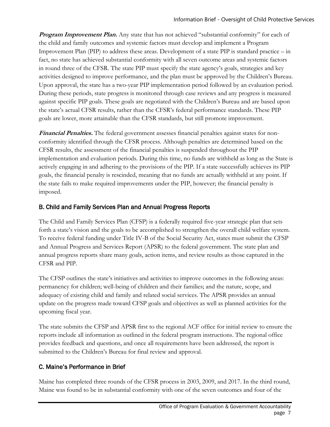**Program Improvement Plan.** Any state that has not achieved "substantial conformity" for each of the child and family outcomes and systemic factors must develop and implement a Program Improvement Plan (PIP) to address these areas. Development of a state PIP is standard practice – in fact, no state has achieved substantial conformity with all seven outcome areas and systemic factors in round three of the CFSR. The state PIP must specify the state agency's goals, strategies and key activities designed to improve performance, and the plan must be approved by the Children's Bureau. Upon approval, the state has a two-year PIP implementation period followed by an evaluation period. During these periods, state progress is monitored through case reviews and any progress is measured against specific PIP goals. These goals are negotiated with the Children's Bureau and are based upon the state's actual CFSR results, rather than the CFSR's federal performance standards. These PIP goals are lower, more attainable than the CFSR standards, but still promote improvement.

**Financial Penalties.** The federal government assesses financial penalties against states for nonconformity identified through the CFSR process. Although penalties are determined based on the CFSR results, the assessment of the financial penalties is suspended throughout the PIP implementation and evaluation periods. During this time, no funds are withheld as long as the State is actively engaging in and adhering to the provisions of the PIP. If a state successfully achieves its PIP goals, the financial penalty is rescinded, meaning that no funds are actually withheld at any point. If the state fails to make required improvements under the PIP, however; the financial penalty is imposed.

## B. Child and Family Services Plan and Annual Progress Reports

The Child and Family Services Plan (CFSP) is a federally required five-year strategic plan that sets forth a state's vision and the goals to be accomplished to strengthen the overall child welfare system. To receive federal funding under Title IV-B of the Social Security Act, states must submit the CFSP and Annual Progress and Services Report (APSR) to the federal government. The state plan and annual progress reports share many goals, action items, and review results as those captured in the CFSR and PIP.

The CFSP outlines the state's initiatives and activities to improve outcomes in the following areas: permanency for children; well-being of children and their families; and the nature, scope, and adequacy of existing child and family and related social services. The APSR provides an annual update on the progress made toward CFSP goals and objectives as well as planned activities for the upcoming fiscal year.

The state submits the CFSP and APSR first to the regional ACF office for initial review to ensure the reports include all information as outlined in the federal program instructions. The regional office provides feedback and questions, and once all requirements have been addressed, the report is submitted to the Children's Bureau for final review and approval.

## C. Maine's Performance in Brief

Maine has completed three rounds of the CFSR process in 2003, 2009, and 2017. In the third round, Maine was found to be in substantial conformity with one of the seven outcomes and four of the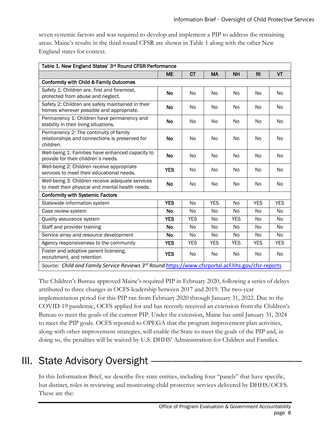seven systemic factors and was required to develop and implement a PIP to address the remaining areas. Maine's results in the third round CFSR are shown in Table 1 along with the other New England states for context.

| Table 1. New England States' 3 <sup>rd</sup> Round CFSR Performance                                            |            |                |                |                |                |                |
|----------------------------------------------------------------------------------------------------------------|------------|----------------|----------------|----------------|----------------|----------------|
|                                                                                                                | <b>ME</b>  | <b>CT</b>      | <b>MA</b>      | <b>NH</b>      | R <sub>l</sub> | VT             |
| Conformity with Child & Family Outcomes                                                                        |            |                |                |                |                |                |
| Safety 1: Children are, first and foremost,<br>protected from abuse and neglect.                               | <b>No</b>  | N <sub>o</sub> | No.            | N <sub>0</sub> | <b>No</b>      | N <sub>o</sub> |
| Safety 2: Children are safely maintained in their<br>homes wherever possible and appropriate.                  | <b>No</b>  | No.            | No.            | N <sub>o</sub> | N <sub>o</sub> | N <sub>o</sub> |
| Permanency 1: Children have permanency and<br>stability in their living situations.                            | <b>No</b>  | N <sub>o</sub> | N <sub>o</sub> | N <sub>o</sub> | <b>No</b>      | N <sub>o</sub> |
| Permanency 2: The continuity of family<br>relationships and connections is preserved for<br>children.          | <b>No</b>  | No             | No.            | No.            | No.            | No.            |
| Well-being 1: Families have enhanced capacity to<br>provide for their children's needs.                        | <b>No</b>  | N <sub>o</sub> | No.            | <b>No</b>      | <b>No</b>      | N <sub>o</sub> |
| Well-being 2: Children receive appropriate<br>services to meet their educational needs.                        | <b>YES</b> | N <sub>o</sub> | No.            | <b>No</b>      | No             | N <sub>o</sub> |
| Well-being 3: Children receive adequate services<br>to meet their physical and mental health needs.            | No         | N <sub>o</sub> | No.            | N <sub>o</sub> | N <sub>o</sub> | N <sub>o</sub> |
| <b>Conformity with Systemic Factors</b>                                                                        |            |                |                |                |                |                |
| Statewide information system                                                                                   | <b>YES</b> | No             | <b>YES</b>     | <b>No</b>      | <b>YES</b>     | <b>YES</b>     |
| Case review system                                                                                             | <b>No</b>  | N <sub>o</sub> | No.            | <b>No</b>      | <b>No</b>      | N <sub>0</sub> |
| Quality assurance system                                                                                       | <b>YES</b> | <b>YES</b>     | No.            | <b>YES</b>     | N <sub>o</sub> | N <sub>o</sub> |
| Staff and provider training                                                                                    | No         | No             | No.            | N <sub>o</sub> | <b>No</b>      | N <sub>o</sub> |
| Service array and resource development                                                                         | <b>No</b>  | No             | No             | N <sub>o</sub> | <b>No</b>      | No             |
| Agency responsiveness to the community                                                                         | <b>YES</b> | <b>YES</b>     | <b>YES</b>     | <b>YES</b>     | <b>YES</b>     | <b>YES</b>     |
| Foster and adoptive parent licensing,<br>recruitment, and retention                                            | <b>YES</b> | N <sub>o</sub> | N <sub>o</sub> | N <sub>o</sub> | N <sub>o</sub> | N <sub>o</sub> |
| Source: Child and Family Service Reviews 3 <sup>rd</sup> Round https://www.cfsrportal.acf.hhs.gov/cfsr-reports |            |                |                |                |                |                |

The Children's Bureau approved Maine's required PIP in February 2020, following a series of delays attributed to three changes in OCFS leadership between 2017 and 2019. The two-year implementation period for this PIP ran from February 2020 through January 31, 2022. Due to the COVID-19 pandemic, OCFS applied for and has recently received an extension from the Children's Bureau to meet the goals of the current PIP. Under the extension, Maine has until January 31, 2024 to meet the PIP goals. OCFS reported to OPEGA that the program improvement plan activities, along with other improvement strategies, will enable the State to meet the goals of the PIP and, in doing so, the penalties will be waived by U.S. DHHS' Administration for Children and Families.

## III. State Advisory Oversight —

In this Information Brief, we describe five state entities, including four "panels" that have specific, but distinct, roles in reviewing and monitoring child protective services delivered by DHHS/OCFS. These are the: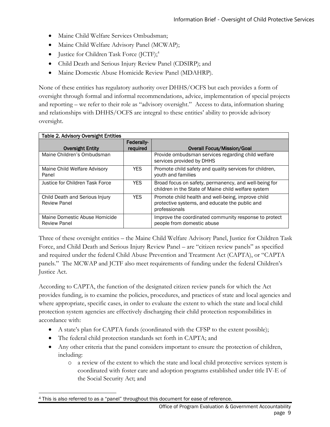- Maine Child Welfare Services Ombudsman;
- Maine Child Welfare Advisory Panel (MCWAP);
- Justice for Children Task Force (JCTF);<sup>4</sup>
- Child Death and Serious Injury Review Panel (CDSIRP); and
- Maine Domestic Abuse Homicide Review Panel (MDAHRP).

None of these entities has regulatory authority over DHHS/OCFS but each provides a form of oversight through formal and informal recommendations, advice, implementation of special projects and reporting – we refer to their role as "advisory oversight." Access to data, information sharing and relationships with DHHS/OCFS are integral to these entities' ability to provide advisory oversight.

| <b>Table 2. Advisory Oversight Entities</b>           |                        |                                                                                                                       |
|-------------------------------------------------------|------------------------|-----------------------------------------------------------------------------------------------------------------------|
| <b>Oversight Entity</b>                               | Federally-<br>required | <b>Overall Focus/Mission/Goal</b>                                                                                     |
| Maine Children's Ombudsman                            |                        | Provide ombudsman services regarding child welfare<br>services provided by DHHS                                       |
| Maine Child Welfare Advisory<br>Panel                 | <b>YES</b>             | Promote child safety and quality services for children,<br>youth and families                                         |
| Justice for Children Task Force                       | <b>YES</b>             | Broad focus on safety, permanency, and well-being for<br>children in the State of Maine child welfare system          |
| Child Death and Serious Injury<br><b>Review Panel</b> | YFS.                   | Promote child health and well-being, improve child<br>protective systems, and educate the public and<br>professionals |
| Maine Domestic Abuse Homicide<br><b>Review Panel</b>  |                        | Improve the coordinated community response to protect<br>people from domestic abuse                                   |

Three of these oversight entities – the Maine Child Welfare Advisory Panel, Justice for Children Task Force, and Child Death and Serious Injury Review Panel – are "citizen review panels" as specified and required under the federal Child Abuse Prevention and Treatment Act (CAPTA), or "CAPTA panels." The MCWAP and JCTF also meet requirements of funding under the federal Children's Justice Act.

According to CAPTA, the function of the designated citizen review panels for which the Act provides funding, is to examine the policies, procedures, and practices of state and local agencies and where appropriate, specific cases, in order to evaluate the extent to which the state and local child protection system agencies are effectively discharging their child protection responsibilities in accordance with:

- A state's plan for CAPTA funds (coordinated with the CFSP to the extent possible);
- The federal child protection standards set forth in CAPTA; and
- Any other criteria that the panel considers important to ensure the protection of children, including:
	- o a review of the extent to which the state and local child protective services system is coordinated with foster care and adoption programs established under title IV-E of the Social Security Act; and

 $\overline{a}$ 

<sup>4</sup> This is also referred to as a "panel" throughout this document for ease of reference.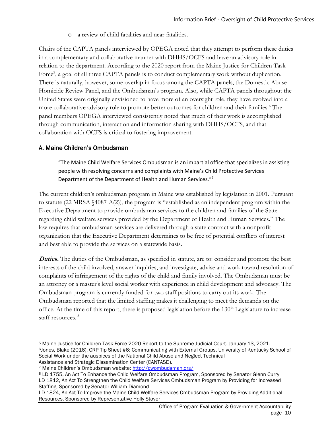o a review of child fatalities and near fatalities.

Chairs of the CAPTA panels interviewed by OPEGA noted that they attempt to perform these duties in a complementary and collaborative manner with DHHS/OCFS and have an advisory role in relation to the department. According to the 2020 report from the Maine Justice for Children Task Force<sup>5</sup>, a goal of all three CAPTA panels is to conduct complementary work without duplication. There is naturally, however, some overlap in focus among the CAPTA panels, the Domestic Abuse Homicide Review Panel, and the Ombudsman's program. Also, while CAPTA panels throughout the United States were originally envisioned to have more of an oversight role, they have evolved into a more collaborative advisory role to promote better outcomes for children and their families.<sup>6</sup> The panel members OPEGA interviewed consistently noted that much of their work is accomplished through communication, interaction and information sharing with DHHS/OCFS, and that collaboration with OCFS is critical to fostering improvement.

## A. Maine Children's Ombudsman

 $\overline{a}$ 

"The Maine Child Welfare Services Ombudsman is an impartial office that specializes in assisting people with resolving concerns and complaints with Maine's Child Protective Services Department of the Department of Health and Human Services."<sup>7</sup>

The current children's ombudsman program in Maine was established by legislation in 2001. Pursuant to statute (22 MRSA §4087-A(2)), the program is "established as an independent program within the Executive Department to provide ombudsman services to the children and families of the State regarding child welfare services provided by the Department of Health and Human Services." The law requires that ombudsman services are delivered through a state contract with a nonprofit organization that the Executive Department determines to be free of potential conflicts of interest and best able to provide the services on a statewide basis.

**Duties.** The duties of the Ombudsman, as specified in statute, are to: consider and promote the best interests of the child involved, answer inquiries, and investigate, advise and work toward resolution of complaints of infringement of the rights of the child and family involved. The Ombudsman must be an attorney or a master's level social worker with experience in child development and advocacy. The Ombudsman program is currently funded for two staff positions to carry out its work. The Ombudsman reported that the limited staffing makes it challenging to meet the demands on the office. At the time of this report, there is proposed legislation before the 130<sup>th</sup> Legislature to increase staff resources. <sup>8</sup>

<sup>5</sup> Maine Justice for Children Task Force 2020 Report to the Supreme Judicial Court. January 13, 2021. <sup>6</sup>Jones, Blake (2016). CRP Tip Sheet #6: Communicating with External Groups, University of Kentucky School of Social Work under the auspices of the National Child Abuse and Neglect Technical Assistance and Strategic Dissemination Center (CANTASD).

<sup>7</sup> Maine Children's Ombudsman website: <http://cwombudsman.org/>

<sup>8</sup> LD 1755, An Act To Enhance the Child Welfare Ombudsman Program, Sponsored by Senator Glenn Curry LD 1812, An Act To Strengthen the Child Welfare Services Ombudsman Program by Providing for Increased Staffing, Sponsored by Senator William Diamond

LD 1824, An Act To Improve the Maine Child Welfare Services Ombudsman Program by Providing Additional Resources, Sponsored by Representative Holly Stover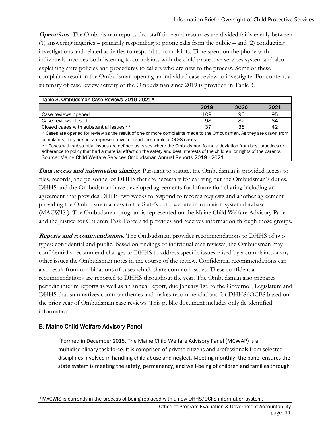**Operations.** The Ombudsman reports that staff time and resources are divided fairly evenly between (1) answering inquiries – primarily responding to phone calls from the public – and (2) conducting investigations and related activities to respond to complaints. Time spent on the phone with individuals involves both listening to complaints with the child protective services system and also explaining state policies and procedures to callers who are new to the process. Some of these complaints result in the Ombudsman opening an individual case review to investigate. For context, a summary of case review activity of the Ombudsman since 2019 is provided in Table 3.

| Table 3. Ombudsman Case Reviews 2019-2021*                                                                          |      |      |      |
|---------------------------------------------------------------------------------------------------------------------|------|------|------|
|                                                                                                                     | 2019 | 2020 | 2021 |
| Case reviews opened                                                                                                 | 109  | 90   | 95   |
| Case reviews closed                                                                                                 | 98   | 82   | 84   |
| Closed cases with substantial issues**                                                                              | 37   | 38   | 42   |
| * Cases are opened for review as the result of one or more complaints made to the Ombudsman. As they are drawn from |      |      |      |

complaints, they are not a representative, or random sample of OCFS cases.

\*\* Cases with substantial issues are defined as cases where the Ombudsman found a deviation from best practices or adherence to policy that had a material effect on the safety and best interests of the children, or rights of the parents. Source: Maine Child Welfare Services Ombudsman Annual Reports 2019 - 2021

**Data access and information sharing.** Pursuant to statute, the Ombudsman is provided access to files, records, and personnel of DHHS that are necessary for carrying out the Ombudsman's duties. DHHS and the Ombudsman have developed agreements for information sharing including an agreement that provides DHHS two weeks to respond to records requests and another agreement providing the Ombudsman access to the State's child welfare information system database (MACWIS<sup>9</sup>). The Ombudsman program is represented on the Maine Child Welfare Advisory Panel and the Justice for Children Task Force and provides and receives information through those groups.

**Reports and recommendations.** The Ombudsman provides recommendations to DHHS of two types: confidential and public. Based on findings of individual case reviews, the Ombudsman may confidentially recommend changes to DHHS to address specific issues raised by a complaint, or any other issues the Ombudsman notes in the course of the review. Confidential recommendations can also result from combinations of cases which share common issues. These confidential recommendations are reported to DHHS throughout the year. The Ombudsman also prepares periodic interim reports as well as an annual report, due January 1st, to the Governor, Legislature and DHHS that summarizes common themes and makes recommendations for DHHS/OCFS based on the prior year of Ombudsman case reviews. This public document includes only de-identified information.

## B. Maine Child Welfare Advisory Panel

 $\overline{a}$ 

"Formed in December 2015, The Maine Child Welfare Advisory Panel (MCWAP) is a multidisciplinary task force. It is comprised of private citizens and professionals from selected disciplines involved in handling child abuse and neglect. Meeting monthly, the panel ensures the state system is meeting the safety, permanency, and well-being of children and families through

<sup>9</sup> MACWIS is currently in the process of being replaced with a new DHHS/OCFS information system.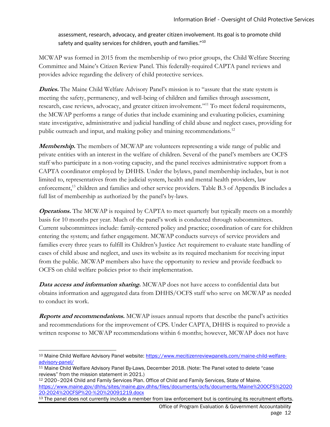assessment, research, advocacy, and greater citizen involvement. Its goal is to promote child safety and quality services for children, youth and families." $10$ 

MCWAP was formed in 2015 from the membership of two prior groups, the Child Welfare Steering Committee and Maine's Citizen Review Panel. This federally-required CAPTA panel reviews and provides advice regarding the delivery of child protective services.

**Duties.** The Maine Child Welfare Advisory Panel's mission is to "assure that the state system is meeting the safety, permanency, and well-being of children and families through assessment, research, case reviews, advocacy, and greater citizen involvement."<sup>11</sup> To meet federal requirements, the MCWAP performs a range of duties that include examining and evaluating policies, examining state investigative, administrative and judicial handling of child abuse and neglect cases, providing for public outreach and input, and making policy and training recommendations.<sup>12</sup>

**Membership.** The members of MCWAP are volunteers representing a wide range of public and private entities with an interest in the welfare of children. Several of the panel's members are OCFS staff who participate in a non-voting capacity, and the panel receives administrative support from a CAPTA coordinator employed by DHHS. Under the bylaws, panel membership includes, but is not limited to, representatives from the judicial system, health and mental health providers, law enforcement,<sup>13</sup> children and families and other service providers. Table B.3 of Appendix B includes a full list of membership as authorized by the panel's by-laws.

**Operations.** The MCWAP is required by CAPTA to meet quarterly but typically meets on a monthly basis for 10 months per year. Much of the panel's work is conducted through subcommittees. Current subcommittees include: family-centered policy and practice; coordination of care for children entering the system; and father engagement. MCWAP conducts surveys of service providers and families every three years to fulfill its Children's Justice Act requirement to evaluate state handling of cases of child abuse and neglect, and uses its website as its required mechanism for receiving input from the public. MCWAP members also have the opportunity to review and provide feedback to OCFS on child welfare policies prior to their implementation.

**Data access and information sharing.** MCWAP does not have access to confidential data but obtains information and aggregated data from DHHS/OCFS staff who serve on MCWAP as needed to conduct its work.

**Reports and recommendations.** MCWAP issues annual reports that describe the panel's activities and recommendations for the improvement of CPS. Under CAPTA, DHHS is required to provide a written response to MCWAP recommendations within 6 months; however, MCWAP does not have

l

<sup>10</sup> Maine Child Welfare Advisory Panel website: [https://www.mecitizenreviewpanels.com/maine-child-welfare](https://www.mecitizenreviewpanels.com/maine-child-welfare-advisory-panel/)[advisory-panel/](https://www.mecitizenreviewpanels.com/maine-child-welfare-advisory-panel/)

<sup>11</sup> Maine Child Welfare Advisory Panel By-Laws, December 2018. (Note: The Panel voted to delete "case reviews" from the mission statement in 2021.)

<sup>12</sup> 2020–2024 Child and Family Services Plan. Office of Child and Family Services, State of Maine. [https://www.maine.gov/dhhs/sites/maine.gov.dhhs/files/documents/ocfs/documents/Maine%20OCFS%2020](https://www.maine.gov/dhhs/sites/maine.gov.dhhs/files/documents/ocfs/documents/Maine%20OCFS%202020-2024%20CFSP%20-%20%20091219.docx) [20-2024%20CFSP%20-%20%20091219.docx](https://www.maine.gov/dhhs/sites/maine.gov.dhhs/files/documents/ocfs/documents/Maine%20OCFS%202020-2024%20CFSP%20-%20%20091219.docx)

<sup>&</sup>lt;sup>13</sup> The panel does not currently include a member from law enforcement but is continuing its recruitment efforts.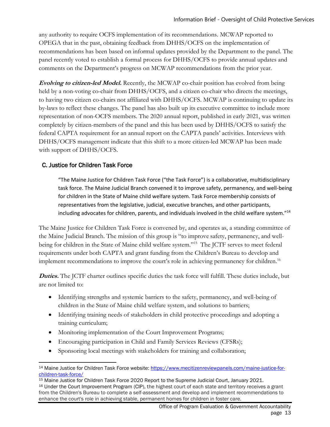any authority to require OCFS implementation of its recommendations. MCWAP reported to OPEGA that in the past, obtaining feedback from DHHS/OCFS on the implementation of recommendations has been based on informal updates provided by the Department to the panel. The panel recently voted to establish a formal process for DHHS/OCFS to provide annual updates and comments on the Department's progress on MCWAP recommendations from the prior year.

**Evolving to citizen-led Model.** Recently, the MCWAP co-chair position has evolved from being held by a non-voting co-chair from DHHS/OCFS, and a citizen co-chair who directs the meetings, to having two citizen co-chairs not affiliated with DHHS/OCFS. MCWAP is continuing to update its by-laws to reflect these changes. The panel has also built up its executive committee to include more representation of non-OCFS members. The 2020 annual report, published in early 2021, was written completely by citizen-members of the panel and this has been used by DHHS/OCFS to satisfy the federal CAPTA requirement for an annual report on the CAPTA panels' activities. Interviews with DHHS/OCFS management indicate that this shift to a more citizen-led MCWAP has been made with support of DHHS/OCFS.

## C. Justice for Children Task Force

 $\overline{a}$ 

"The Maine Justice for Children Task Force ("the Task Force") is a collaborative, multidisciplinary task force. The Maine Judicial Branch convened it to improve safety, permanency, and well-being for children in the State of Maine child welfare system. Task Force membership consists of representatives from the legislative, judicial, executive branches, and other participants, including advocates for children, parents, and individuals involved in the child welfare system."<sup>14</sup>

The Maine Justice for Children Task Force is convened by, and operates as, a standing committee of the Maine Judicial Branch. The mission of this group is "to improve safety, permanency, and wellbeing for children in the State of Maine child welfare system."<sup>15</sup> The JCTF serves to meet federal requirements under both CAPTA and grant funding from the Children's Bureau to develop and implement recommendations to improve the court's role in achieving permanency for children.<sup>16</sup>

**Duties.** The JCTF charter outlines specific duties the task force will fulfill. These duties include, but are not limited to:

- Identifying strengths and systemic barriers to the safety, permanency, and well-being of children in the State of Maine child welfare system, and solutions to barriers;
- Identifying training needs of stakeholders in child protective proceedings and adopting a training curriculum;
- Monitoring implementation of the Court Improvement Programs;
- Encouraging participation in Child and Family Services Reviews (CFSRs);
- Sponsoring local meetings with stakeholders for training and collaboration;

<sup>14</sup> Maine Justice for Children Task Force website[: https://www.mecitizenreviewpanels.com/maine-justice-for](https://www.mecitizenreviewpanels.com/maine-justice-for-children-task-force/)[children-task-force/](https://www.mecitizenreviewpanels.com/maine-justice-for-children-task-force/)

<sup>15</sup> Maine Justice for Children Task Force 2020 Report to the Supreme Judicial Court, January 2021. <sup>16</sup> Under the Court Improvement Program (CIP), the highest court of each state and territory receives a grant from the Children's Bureau to complete a self-assessment and develop and implement recommendations to enhance the court's role in achieving stable, permanent homes for children in foster care.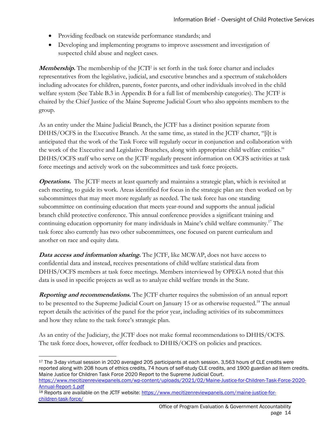- Providing feedback on statewide performance standards; and
- Developing and implementing programs to improve assessment and investigation of suspected child abuse and neglect cases.

**Membership.** The membership of the JCTF is set forth in the task force charter and includes representatives from the legislative, judicial, and executive branches and a spectrum of stakeholders including advocates for children, parents, foster parents, and other individuals involved in the child welfare system (See Table B.3 in Appendix B for a full list of membership categories). The JCTF is chaired by the Chief Justice of the Maine Supreme Judicial Court who also appoints members to the group.

As an entity under the Maine Judicial Branch, the JCTF has a distinct position separate from DHHS/OCFS in the Executive Branch. At the same time, as stated in the JCTF charter, "[i]t is anticipated that the work of the Task Force will regularly occur in conjunction and collaboration with the work of the Executive and Legislative Branches, along with appropriate child welfare entities." DHHS/OCFS staff who serve on the JCTF regularly present information on OCFS activities at task force meetings and actively work on the subcommittees and task force projects.

**Operations.** The JCTF meets at least quarterly and maintains a strategic plan, which is revisited at each meeting, to guide its work. Areas identified for focus in the strategic plan are then worked on by subcommittees that may meet more regularly as needed. The task force has one standing subcommittee on continuing education that meets year-round and supports the annual judicial branch child protective conference. This annual conference provides a significant training and continuing education opportunity for many individuals in Maine's child welfare community. <sup>17</sup> The task force also currently has two other subcommittees, one focused on parent curriculum and another on race and equity data.

**Data access and information sharing.** The JCTF, like MCWAP, does not have access to confidential data and instead, receives presentations of child welfare statistical data from DHHS/OCFS members at task force meetings. Members interviewed by OPEGA noted that this data is used in specific projects as well as to analyze child welfare trends in the State.

**Reporting and recommendations.** The JCTF charter requires the submission of an annual report to be presented to the Supreme Judicial Court on January 15 or as otherwise requested.<sup>18</sup> The annual report details the activities of the panel for the prior year, including activities of its subcommittees and how they relate to the task force's strategic plan.

As an entity of the Judiciary, the JCTF does not make formal recommendations to DHHS/OCFS. The task force does, however, offer feedback to DHHS/OCFS on policies and practices.

<sup>17</sup> The 3-day virtual session in 2020 averaged 205 participants at each session. 3,563 hours of CLE credits were reported along with 208 hours of ethics credits, 74 hours of self-study CLE credits, and 1900 guardian ad litem credits. Maine Justice for Children Task Force 2020 Report to the Supreme Judicial Court.

[https://www.mecitizenreviewpanels.com/wp-content/uploads/2021/02/Maine-Justice-for-Children-Task-Force-2020-](https://www.mecitizenreviewpanels.com/wp-content/uploads/2021/02/Maine-Justice-for-Children-Task-Force-2020-Annual-Report-1.pdf) [Annual-Report-1.pdf](https://www.mecitizenreviewpanels.com/wp-content/uploads/2021/02/Maine-Justice-for-Children-Task-Force-2020-Annual-Report-1.pdf)

l

<sup>18</sup> Reports are available on the JCTF website: [https://www.mecitizenreviewpanels.com/maine-justice-for](https://www.mecitizenreviewpanels.com/maine-justice-for-children-task-force/)[children-task-force/](https://www.mecitizenreviewpanels.com/maine-justice-for-children-task-force/)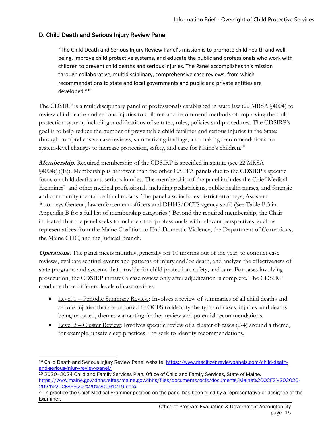### D. Child Death and Serious Injury Review Panel

"The Child Death and Serious Injury Review Panel's mission is to promote child health and wellbeing, improve child protective systems, and educate the public and professionals who work with children to prevent child deaths and serious injuries. The Panel accomplishes this mission through collaborative, multidisciplinary, comprehensive case reviews, from which recommendations to state and local governments and public and private entities are developed."<sup>19</sup>

The CDSIRP is a multidisciplinary panel of professionals established in state law (22 MRSA §4004) to review child deaths and serious injuries to children and recommend methods of improving the child protection system, including modifications of statutes, rules, policies and procedures. The CDSIRP's goal is to help reduce the number of preventable child fatalities and serious injuries in the State; through comprehensive case reviews, summarizing findings, and making recommendations for system-level changes to increase protection, safety, and care for Maine's children.<sup>20</sup>

**Membership.** Required membership of the CDSIRP is specified in statute (see 22 MRSA §4004(1)(E)). Membership is narrower than the other CAPTA panels due to the CDSIRP's specific focus on child deaths and serious injuries. The membership of the panel includes the Chief Medical Examiner<sup>21</sup> and other medical professionals including pediatricians, public health nurses, and forensic and community mental health clinicians. The panel also includes district attorneys, Assistant Attorneys General, law enforcement officers and DHHS/OCFS agency staff. (See Table B.3 in Appendix B for a full list of membership categories.) Beyond the required membership, the Chair indicated that the panel seeks to include other professionals with relevant perspectives, such as representatives from the Maine Coalition to End Domestic Violence, the Department of Corrections, the Maine CDC, and the Judicial Branch.

**Operations.** The panel meets monthly, generally for 10 months out of the year, to conduct case reviews, evaluate sentinel events and patterns of injury and/or death, and analyze the effectiveness of state programs and systems that provide for child protection, safety, and care. For cases involving prosecution, the CDSIRP initiates a case review only after adjudication is complete. The CDSIRP conducts three different levels of case reviews:

- Level 1 Periodic Summary Review: Involves a review of summaries of all child deaths and serious injuries that are reported to OCFS to identify the types of cases, injuries, and deaths being reported, themes warranting further review and potential recommendations.
- Level  $2$  Cluster Review: Involves specific review of a cluster of cases (2-4) around a theme, for example, unsafe sleep practices – to seek to identify recommendations.

l

<sup>19</sup> Child Death and Serious Injury Review Panel website: [https://www.mecitizenreviewpanels.com/child-death](https://www.mecitizenreviewpanels.com/child-death-and-serious-injury-review-panel/)[and-serious-injury-review-panel/](https://www.mecitizenreviewpanels.com/child-death-and-serious-injury-review-panel/)

<sup>20</sup> 2020–2024 Child and Family Services Plan. Office of Child and Family Services, State of Maine. [https://www.maine.gov/dhhs/sites/maine.gov.dhhs/files/documents/ocfs/documents/Maine%20OCFS%202020-](https://www.maine.gov/dhhs/sites/maine.gov.dhhs/files/documents/ocfs/documents/Maine%20OCFS%202020-2024%20CFSP%20-%20%20091219.docx) [2024%20CFSP%20-%20%20091219.docx](https://www.maine.gov/dhhs/sites/maine.gov.dhhs/files/documents/ocfs/documents/Maine%20OCFS%202020-2024%20CFSP%20-%20%20091219.docx)

<sup>&</sup>lt;sup>21</sup> In practice the Chief Medical Examiner position on the panel has been filled by a representative or designee of the Examiner.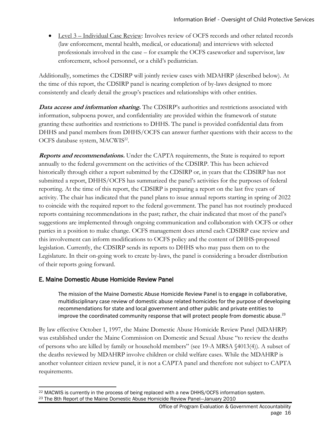• Level 3 – Individual Case Review: Involves review of OCFS records and other related records (law enforcement, mental health, medical, or educational) and interviews with selected professionals involved in the case – for example the OCFS caseworker and supervisor, law enforcement, school personnel, or a child's pediatrician.

Additionally, sometimes the CDSIRP will jointly review cases with MDAHRP (described below). At the time of this report, the CDSIRP panel is nearing completion of by-laws designed to more consistently and clearly detail the group's practices and relationships with other entities.

**Data access and information sharing.** The CDSIRP's authorities and restrictions associated with information, subpoena power, and confidentiality are provided within the framework of statute granting these authorities and restrictions to DHHS. The panel is provided confidential data from DHHS and panel members from DHHS/OCFS can answer further questions with their access to the OCFS database system, MACWIS<sup>22</sup>.

**Reports and recommendations.** Under the CAPTA requirements, the State is required to report annually to the federal government on the activities of the CDSIRP. This has been achieved historically through either a report submitted by the CDSIRP or, in years that the CDSIRP has not submitted a report, DHHS/OCFS has summarized the panel's activities for the purposes of federal reporting. At the time of this report, the CDSIRP is preparing a report on the last five years of activity. The chair has indicated that the panel plans to issue annual reports starting in spring of 2022 to coincide with the required report to the federal government. The panel has not routinely produced reports containing recommendations in the past; rather, the chair indicated that most of the panel's suggestions are implemented through ongoing communication and collaboration with OCFS or other parties in a position to make change. OCFS management does attend each CDSIRP case review and this involvement can inform modifications to OCFS policy and the content of DHHS-proposed legislation. Currently, the CDSIRP sends its reports to DHHS who may pass them on to the Legislature. In their on-going work to create by-laws, the panel is considering a broader distribution of their reports going forward.

## E. Maine Domestic Abuse Homicide Review Panel

The mission of the Maine Domestic Abuse Homicide Review Panel is to engage in collaborative, multidisciplinary case review of domestic abuse related homicides for the purpose of developing recommendations for state and local government and other public and private entities to improve the coordinated community response that will protect people from domestic abuse.<sup>23</sup>

By law effective October 1, 1997, the Maine Domestic Abuse Homicide Review Panel (MDAHRP) was established under the Maine Commission on Domestic and Sexual Abuse "to review the deaths of persons who are killed by family or household members" (see 19-A MRSA §4013(4)). A subset of the deaths reviewed by MDAHRP involve children or child welfare cases. While the MDAHRP is another volunteer citizen review panel, it is not a CAPTA panel and therefore not subject to CAPTA requirements.

 $\overline{a}$ <sup>22</sup> MACWIS is currently in the process of being replaced with a new DHHS/OCFS information system. <sup>23</sup> The 8th Report of the Maine Domestic Abuse Homicide Review Panel—January 2010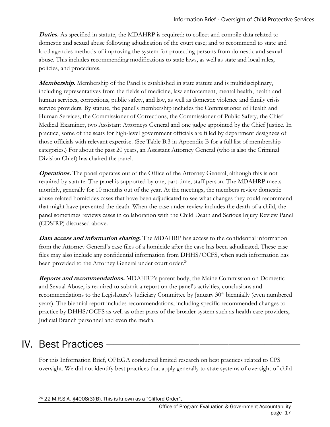**Duties.** As specified in statute, the MDAHRP is required: to collect and compile data related to domestic and sexual abuse following adjudication of the court case; and to recommend to state and local agencies methods of improving the system for protecting persons from domestic and sexual abuse. This includes recommending modifications to state laws, as well as state and local rules, policies, and procedures.

**Membership.** Membership of the Panel is established in state statute and is multidisciplinary, including representatives from the fields of medicine, law enforcement, mental health, health and human services, corrections, public safety, and law, as well as domestic violence and family crisis service providers. By statute, the panel's membership includes the Commissioner of Health and Human Services, the Commissioner of Corrections, the Commissioner of Public Safety, the Chief Medical Examiner, two Assistant Attorneys General and one judge appointed by the Chief Justice. In practice, some of the seats for high-level government officials are filled by department designees of those officials with relevant expertise. (See Table B.3 in Appendix B for a full list of membership categories.) For about the past 20 years, an Assistant Attorney General (who is also the Criminal Division Chief) has chaired the panel.

**Operations.** The panel operates out of the Office of the Attorney General, although this is not required by statute. The panel is supported by one, part-time, staff person. The MDAHRP meets monthly, generally for 10 months out of the year. At the meetings, the members review domestic abuse-related homicides cases that have been adjudicated to see what changes they could recommend that might have prevented the death. When the case under review includes the death of a child, the panel sometimes reviews cases in collaboration with the Child Death and Serious Injury Review Panel (CDSIRP) discussed above.

**Data access and information sharing.** The MDAHRP has access to the confidential information from the Attorney General's case files of a homicide after the case has been adjudicated. These case files may also include any confidential information from DHHS/OCFS, when such information has been provided to the Attorney General under court order.<sup>24</sup>

**Reports and recommendations.** MDAHRP's parent body, the Maine Commission on Domestic and Sexual Abuse, is required to submit a report on the panel's activities, conclusions and recommendations to the Legislature's Judiciary Committee by January 30<sup>th</sup> biennially (even numbered years). The biennial report includes recommendations, including specific recommended changes to practice by DHHS/OCFS as well as other parts of the broader system such as health care providers, Judicial Branch personnel and even the media.

## IV. Best Practices

 $\overline{a}$ 

For this Information Brief, OPEGA conducted limited research on best practices related to CPS oversight. We did not identify best practices that apply generally to state systems of oversight of child

<sup>24</sup> 22 M.R.S.A. §4008(3)(B). This is known as a "Clifford Order".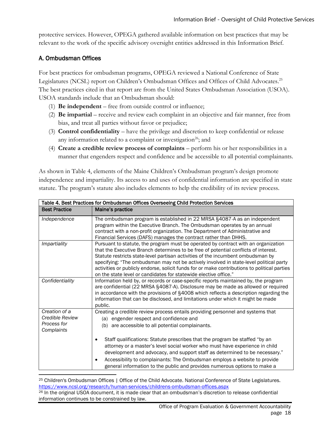protective services. However, OPEGA gathered available information on best practices that may be relevant to the work of the specific advisory oversight entities addressed in this Information Brief.

## A. Ombudsman Offices

For best practices for ombudsman programs, OPEGA reviewed a National Conference of State Legislatures (NCSL) report on Children's Ombudsman Offices and Offices of Child Advocates.<sup>25</sup> The best practices cited in that report are from the United States Ombudsman Association (USOA). USOA standards include that an Ombudsman should:

- (1) **Be independent** free from outside control or influence;
- (2) **Be impartial** receive and review each complaint in an objective and fair manner, free from bias, and treat all parties without favor or prejudice;
- (3) **Control confidentiality** have the privilege and discretion to keep confidential or release any information related to a complaint or investigation<sup>26</sup>; and
- (4) **Create a credible review process of complaints** perform his or her responsibilities in a manner that engenders respect and confidence and be accessible to all potential complainants.

As shown in Table 4, elements of the Maine Children's Ombudsman program's design promote independence and impartiality. Its access to and uses of confidential information are specified in state statute. The program's statute also includes elements to help the credibility of its review process.

| Table 4. Best Practices for Ombudsman Offices Overseeing Child Protection Services |                                                                                                                                                                                                                                                                                                                                                                                                                                                                                                                            |  |  |  |
|------------------------------------------------------------------------------------|----------------------------------------------------------------------------------------------------------------------------------------------------------------------------------------------------------------------------------------------------------------------------------------------------------------------------------------------------------------------------------------------------------------------------------------------------------------------------------------------------------------------------|--|--|--|
| <b>Best Practice</b>                                                               | Maine's practice                                                                                                                                                                                                                                                                                                                                                                                                                                                                                                           |  |  |  |
| Independence                                                                       | The ombudsman program is established in 22 MRSA §4087-A as an independent<br>program within the Executive Branch. The Ombudsman operates by an annual<br>contract with a non-profit organization. The Department of Administrative and<br>Financial Services (DAFS) manages the contract rather than DHHS.                                                                                                                                                                                                                 |  |  |  |
| Impartiality                                                                       | Pursuant to statute, the program must be operated by contract with an organization<br>that the Executive Branch determines to be free of potential conflicts of interest.<br>Statute restricts state-level partisan activities of the incumbent ombudsman by<br>specifying: "The ombudsman may not be actively involved in state-level political party<br>activities or publicly endorse, solicit funds for or make contributions to political parties<br>on the state level or candidates for statewide elective office." |  |  |  |
| Confidentiality                                                                    | Information held by, or records or case-specific reports maintained by, the program<br>are confidential (22 MRSA §4087-A). Disclosure may be made as allowed or required<br>in accordance with the provisions of §4008 which reflects a description regarding the<br>information that can be disclosed, and limitations under which it might be made<br>public.                                                                                                                                                            |  |  |  |
| Creation of a<br>Credible Review<br>Process for<br>Complaints                      | Creating a credible review process entails providing personnel and systems that<br>(a) engender respect and confidence and<br>(b) are accessible to all potential complainants.                                                                                                                                                                                                                                                                                                                                            |  |  |  |
|                                                                                    | Staff qualifications: Statute prescribes that the program be staffed "by an<br>٠<br>attorney or a master's level social worker who must have experience in child<br>development and advocacy, and support staff as determined to be necessary."<br>Accessibility to complainants: The Ombudsman employs a website to provide<br>$\bullet$<br>general information to the public and provides numerous options to make a                                                                                                     |  |  |  |

<sup>25</sup> Children's Ombudsman Offices | Office of the Child Advocate. National Conference of State Legislatures. <https://www.ncsl.org/research/human-services/childrens-ombudsman-offices.aspx> <sup>26</sup> In the original USOA document, it is made clear that an ombudsman's discretion to release confidential information continues to be constrained by law.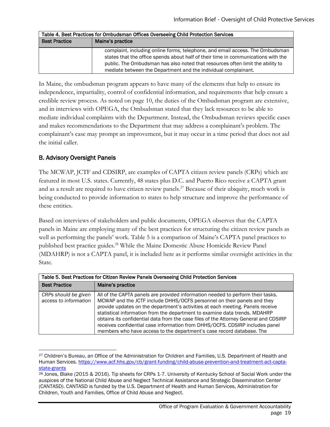| Table 4. Best Practices for Ombudsman Offices Overseeing Child Protection Services |                                                                                                                                                                                                                                                                                                                        |  |  |
|------------------------------------------------------------------------------------|------------------------------------------------------------------------------------------------------------------------------------------------------------------------------------------------------------------------------------------------------------------------------------------------------------------------|--|--|
| <b>Best Practice</b>                                                               | Maine's practice                                                                                                                                                                                                                                                                                                       |  |  |
|                                                                                    | complaint, including online forms, telephone, and email access. The Ombudsman<br>states that the office spends about half of their time in communications with the<br>public. The Ombudsman has also noted that resources often limit the ability to<br>mediate between the Department and the individual complainant. |  |  |

In Maine, the ombudsman program appears to have many of the elements that help to ensure its independence, impartiality, control of confidential information, and requirements that help ensure a credible review process. As noted on page 10, the duties of the Ombudsman program are extensive, and in interviews with OPEGA, the Ombudsman stated that they lack resources to be able to mediate individual complaints with the Department. Instead, the Ombudsman reviews specific cases and makes recommendations to the Department that may address a complainant's problem. The complainant's case may prompt an improvement, but it may occur in a time period that does not aid the initial caller.

### B. Advisory Oversight Panels

The MCWAP, JCTF and CDSIRP, are examples of CAPTA citizen review panels (CRPs) which are featured in most U.S. states. Currently, 48 states plus D.C. and Puerto Rico receive a CAPTA grant and as a result are required to have citizen review panels.<sup>27</sup> Because of their ubiquity, much work is being conducted to provide information to states to help structure and improve the performance of these entities.

Based on interviews of stakeholders and public documents, OPEGA observes that the CAPTA panels in Maine are employing many of the best practices for structuring the citizen review panels as well as performing the panels' work. Table 5 is a comparison of Maine's CAPTA panel practices to published best practice guides.<sup>28</sup> While the Maine Domestic Abuse Homicide Review Panel (MDAHRP) is not a CAPTA panel, it is included here as it performs similar oversight activities in the State.

| Table 5. Best Practices for Citizen Review Panels Overseeing Child Protection Services |                                                                                                                                                                                                                                                                                                                                                                                                                                                                                                                                                                             |  |  |
|----------------------------------------------------------------------------------------|-----------------------------------------------------------------------------------------------------------------------------------------------------------------------------------------------------------------------------------------------------------------------------------------------------------------------------------------------------------------------------------------------------------------------------------------------------------------------------------------------------------------------------------------------------------------------------|--|--|
| <b>Best Practice</b>                                                                   | Maine's practice                                                                                                                                                                                                                                                                                                                                                                                                                                                                                                                                                            |  |  |
| CRPs should be given<br>access to information                                          | All of the CAPTA panels are provided information needed to perform their tasks.<br>MCWAP and the JCTF include DHHS/OCFS personnel on their panels and they<br>provide updates on the department's activities at each meeting. Panels receive<br>statistical information from the department to examine data trends. MDAHRP<br>obtains its confidential data from the case files of the Attorney General and CDSIRP<br>receives confidential case information from DHHS/OCFS. CDSIRP includes panel<br>members who have access to the department's case record database. The |  |  |

l <sup>27</sup> Children's Bureau, an Office of the Administration for Children and Families, U.S. Department of Health and Human Services[. https://www.acf.hhs.gov/cb/grant-funding/child-abuse-prevention-and-treatment-act-capta](https://www.acf.hhs.gov/cb/grant-funding/child-abuse-prevention-and-treatment-act-capta-state-grants)[state-grants](https://www.acf.hhs.gov/cb/grant-funding/child-abuse-prevention-and-treatment-act-capta-state-grants)

<sup>&</sup>lt;sup>28</sup> Jones, Blake (2015 & 2016). Tip sheets for CRPs 1-7. University of Kentucky School of Social Work under the auspices of the National Child Abuse and Neglect Technical Assistance and Strategic Dissemination Center (CANTASD). CANTASD is funded by the U.S. Department of Health and Human Services, Administration for Children, Youth and Families, Office of Child Abuse and Neglect.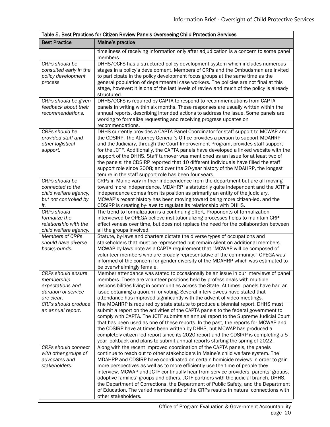| Table 5. Best Practices for Citizen Review Panels Overseeing Child Protection Services      |                                                                                                                                                                                                                                                                                                                                                                                                                                                                                                                                                                                                                                                                                                                      |  |  |  |
|---------------------------------------------------------------------------------------------|----------------------------------------------------------------------------------------------------------------------------------------------------------------------------------------------------------------------------------------------------------------------------------------------------------------------------------------------------------------------------------------------------------------------------------------------------------------------------------------------------------------------------------------------------------------------------------------------------------------------------------------------------------------------------------------------------------------------|--|--|--|
| <b>Best Practice</b>                                                                        | Maine's practice                                                                                                                                                                                                                                                                                                                                                                                                                                                                                                                                                                                                                                                                                                     |  |  |  |
|                                                                                             | timeliness of receiving information only after adjudication is a concern to some panel<br>members.                                                                                                                                                                                                                                                                                                                                                                                                                                                                                                                                                                                                                   |  |  |  |
| CRPs should be<br>consulted early in the<br>policy development<br>process                   | DHHS/OCFS has a structured policy development system which includes numerous<br>stages in a policy's development. Members of CRPs and the Ombudsman are invited<br>to participate in the policy development focus groups at the same time as the<br>general population of departmental case workers. The policies are not final at this<br>stage, however; it is one of the last levels of review and much of the policy is already<br>structured.                                                                                                                                                                                                                                                                   |  |  |  |
| CRPs should be given<br>feedback about their<br>recommendations.                            | DHHS/OCFS is required by CAPTA to respond to recommendations from CAPTA<br>panels in writing within six months. These responses are usually written within the<br>annual reports, describing intended actions to address the issue. Some panels are<br>working to formalize requesting and receiving progress updates on<br>recommendations.                                                                                                                                                                                                                                                                                                                                                                         |  |  |  |
| CRPs should be<br>provided staff and<br>other logistical<br>support.                        | DHHS currently provides a CAPTA Panel Coordinator for staff support to MCWAP and<br>the CDSIRP. The Attorney General's Office provides a person to support MDAHRP -<br>and the Judiciary, through the Court Improvement Program, provides staff support<br>for the JCTF. Additionally, the CAPTA panels have developed a linked website with the<br>support of the DHHS. Staff turnover was mentioned as an issue for at least two of<br>the panels: the CDSIRP reported that 10 different individuals have filled the staff<br>support role since 2008; and over the 20-year history of the MDAHRP, the longest<br>tenure in the staff support role has been four years.                                            |  |  |  |
| CRPs should be<br>connected to the<br>child welfare agency,<br>but not controlled by<br>it. | CRPs in Maine vary in their independence from the department but are all moving<br>toward more independence. MDAHRP is statutorily quite independent and the JCTF's<br>independence comes from its position as primarily an entity of the judiciary.<br>MCWAP's recent history has been moving toward being more citizen-led, and the<br>CDSIRP is creating by-laws to regulate its relationship with DHHS.                                                                                                                                                                                                                                                                                                          |  |  |  |
| <b>CRPs</b> should<br>formalize the<br>relationship with the<br>child welfare agency.       | The trend to formalization is a continuing effort. Proponents of formalization<br>interviewed by OPEGA believe institutionalizing processes helps to maintain CRP<br>effectiveness over time, but does not replace the need for the collaboration between<br>all the groups involved.                                                                                                                                                                                                                                                                                                                                                                                                                                |  |  |  |
| <b>Members of CRPs</b><br>should have diverse<br>backgrounds.                               | Statute, by-laws and charters dictate the diverse types of occupations and<br>stakeholders that must be represented but remain silent on additional members.<br>MCWAP by-laws note as a CAPTA requirement that "MCWAP will be composed of<br>volunteer members who are broadly representative of the community." OPEGA was<br>informed of the concern for gender diversity of the MDAHRP which was estimated to<br>be overwhelmingly female.                                                                                                                                                                                                                                                                         |  |  |  |
| CRPs should ensure<br>membership<br>expectations and<br>duration of service<br>are clear.   | Member attendance was stated to occasionally be an issue in our interviews of panel<br>members. These are volunteer positions held by professionals with multiple<br>responsibilities living in communities across the State. At times, panels have had an<br>issue obtaining a quorum for voting. Several interviewees have stated that<br>attendance has improved significantly with the advent of video-meetings.                                                                                                                                                                                                                                                                                                 |  |  |  |
| CRPs should produce<br>an annual report.                                                    | The MDAHRP is required by state statute to produce a biennial report. DHHS must<br>submit a report on the activities of the CAPTA panels to the federal government to<br>comply with CAPTA. The JCTF submits an annual report to the Supreme Judicial Court<br>that has been used as one of these reports. In the past, the reports for MCWAP and<br>the CDSIRP have at times been written by DHHS, but MCWAP has produced a<br>completely citizen-led report since its 2020 report and the CDSIRP is completing a 5-<br>year lookback and plans to submit annual reports starting the spring of 2022.                                                                                                               |  |  |  |
| CRPs should connect<br>with other groups of<br>advocates and<br>stakeholders.               | Along with the recent improved coordination of the CAPTA panels, the panels<br>continue to reach out to other stakeholders in Maine's child welfare system. The<br>MDAHRP and CDSIRP have coordinated on certain homicide reviews in order to gain<br>more perspectives as well as to more efficiently use the time of people they<br>interview. MCWAP and JCTF continually hear from service providers, parents' groups,<br>adoptive families' groups and others. JCTF partners with the judicial branch, DHHS,<br>the Department of Corrections, the Department of Public Safety, and the Department<br>of Education. The varied membership of the CRPs results in natural connections with<br>other stakeholders. |  |  |  |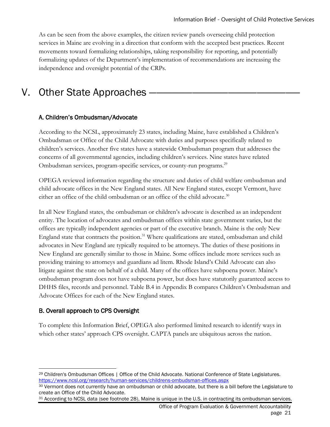As can be seen from the above examples, the citizen review panels overseeing child protection services in Maine are evolving in a direction that conform with the accepted best practices. Recent movements toward formalizing relationships, taking responsibility for reporting, and potentially formalizing updates of the Department's implementation of recommendations are increasing the independence and oversight potential of the CRPs.

## V. Other State Approaches

### A. Children's Ombudsman/Advocate

According to the NCSL, approximately 23 states, including Maine, have established a Children's Ombudsman or Office of the Child Advocate with duties and purposes specifically related to children's services. Another five states have a statewide Ombudsman program that addresses the concerns of all governmental agencies, including children's services. Nine states have related Ombudsman services, program-specific services, or county-run programs.<sup>29</sup>

OPEGA reviewed information regarding the structure and duties of child welfare ombudsman and child advocate offices in the New England states. All New England states, except Vermont, have either an office of the child ombudsman or an office of the child advocate.<sup>30</sup>

In all New England states, the ombudsman or children's advocate is described as an independent entity. The location of advocates and ombudsman offices within state government varies, but the offices are typically independent agencies or part of the executive branch. Maine is the only New England state that contracts the position.<sup>31</sup> Where qualifications are stated, ombudsman and child advocates in New England are typically required to be attorneys. The duties of these positions in New England are generally similar to those in Maine. Some offices include more services such as providing training to attorneys and guardians ad litem. Rhode Island's Child Advocate can also litigate against the state on behalf of a child. Many of the offices have subpoena power. Maine's ombudsman program does not have subpoena power, but does have statutorily guaranteed access to DHHS files, records and personnel. Table B.4 in Appendix B compares Children's Ombudsman and Advocate Offices for each of the New England states.

### B. Overall approach to CPS Oversight

 $\overline{a}$ 

To complete this Information Brief, OPEGA also performed limited research to identify ways in which other states' approach CPS oversight. CAPTA panels are ubiquitous across the nation.

<sup>29</sup> Children's Ombudsman Offices | Office of the Child Advocate. National Conference of State Legislatures. <https://www.ncsl.org/research/human-services/childrens-ombudsman-offices.aspx>

<sup>30</sup> Vermont does not currently have an ombudsman or child advocate, but there is a bill before the Legislature to create an Office of the Child Advocate.

<sup>31</sup> According to NCSL data (see footnote 28), Maine is unique in the U.S. in contracting its ombudsman services.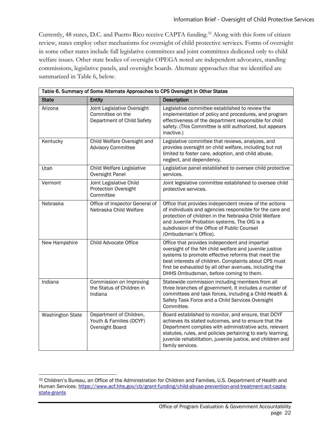Currently, 48 states, D.C. and Puerto Rico receive CAPTA funding.<sup>32</sup> Along with this form of citizen review, states employ other mechanisms for oversight of child protective services. Forms of oversight in some other states include full legislative committees and joint committees dedicated only to child welfare issues. Other state bodies of oversight OPEGA noted are independent advocates, standing commissions, legislative panels, and oversight boards. Alternate approaches that we identified are summarized in Table 6, below.

| Table 6. Summary of Some Alternate Approaches to CPS Oversight in Other States |                                                                               |                                                                                                                                                                                                                                                                                                                             |  |  |
|--------------------------------------------------------------------------------|-------------------------------------------------------------------------------|-----------------------------------------------------------------------------------------------------------------------------------------------------------------------------------------------------------------------------------------------------------------------------------------------------------------------------|--|--|
| <b>State</b>                                                                   | <b>Entity</b>                                                                 | <b>Description</b>                                                                                                                                                                                                                                                                                                          |  |  |
| Arizona                                                                        | Joint Legislative Oversight<br>Committee on the<br>Department of Child Safety | Legislative committee established to review the<br>implementation of policy and procedures, and program<br>effectiveness of the department responsible for child<br>safety. (This Committee is still authorized, but appears<br>inactive.)                                                                                  |  |  |
| Kentucky                                                                       | Child Welfare Oversight and<br><b>Advisory Committee</b>                      | Legislative committee that reviews, analyzes, and<br>provides oversight on child welfare, including but not<br>limited to foster care, adoption, and child abuse,<br>neglect, and dependency.                                                                                                                               |  |  |
| Utah                                                                           | Child Welfare Legislative<br>Oversight Panel                                  | Legislative panel established to oversee child protective<br>services.                                                                                                                                                                                                                                                      |  |  |
| Vermont                                                                        | Joint Legislative Child<br><b>Protection Oversight</b><br>Committee           | Joint legislative committee established to oversee child<br>protective services.                                                                                                                                                                                                                                            |  |  |
| Nebraska                                                                       | Office of Inspector General of<br>Nebraska Child Welfare                      | Office that provides independent review of the actions<br>of individuals and agencies responsible for the care and<br>protection of children in the Nebraska Child Welfare<br>and Juvenile Probation systems. The OIG is a<br>subdivision of the Office of Public Counsel<br>(Ombudsman's Office).                          |  |  |
| New Hampshire                                                                  | Child Advocate Office                                                         | Office that provides independent and impartial<br>oversight of the NH child welfare and juvenile justice<br>systems to promote effective reforms that meet the<br>best interests of children. Complaints about CPS must<br>first be exhausted by all other avenues, including the<br>DHHS Ombudsman, before coming to them. |  |  |
| Indiana                                                                        | Commission on Improving<br>the Status of Children in<br>Indiana               | Statewide commission including members from all<br>three branches of government. It includes a number of<br>committees and task forces, including a Child Health &<br>Safety Task Force and a Child Services Oversight<br>Committee.                                                                                        |  |  |
| <b>Washington State</b>                                                        | Department of Children,<br>Youth & Families (DCYF)<br>Oversight Board         | Board established to monitor, and ensure, that DCYF<br>achieves its stated outcomes, and to ensure that the<br>Department complies with administrative acts, relevant<br>statutes, rules, and policies pertaining to early learning,<br>juvenile rehabilitation, juvenile justice, and children and<br>family services.     |  |  |

l 32 Children's Bureau, an Office of the Administration for Children and Families, U.S. Department of Health and Human Services[. https://www.acf.hhs.gov/cb/grant-funding/child-abuse-prevention-and-treatment-act-capta](https://www.acf.hhs.gov/cb/grant-funding/child-abuse-prevention-and-treatment-act-capta-state-grants)[state-grants](https://www.acf.hhs.gov/cb/grant-funding/child-abuse-prevention-and-treatment-act-capta-state-grants)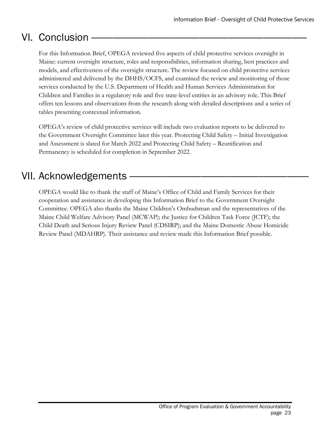# VI. Conclusion

For this Information Brief, OPEGA reviewed five aspects of child protective services oversight in Maine: current oversight structure, roles and responsibilities, information sharing, best practices and models, and effectiveness of the oversight structure. The review focused on child protective services administered and delivered by the DHHS/OCFS, and examined the review and monitoring of those services conducted by the U.S. Department of Health and Human Services Administration for Children and Families in a regulatory role and five state-level entities in an advisory role. This Brief offers ten lessons and observations from the research along with detailed descriptions and a series of tables presenting contextual information.

OPEGA's review of child protective services will include two evaluation reports to be delivered to the Government Oversight Committee later this year. Protecting Child Safety – Initial Investigation and Assessment is slated for March 2022 and Protecting Child Safety – Reunification and Permanency is scheduled for completion in September 2022.

# VII. Acknowledgements —

OPEGA would like to thank the staff of Maine's Office of Child and Family Services for their cooperation and assistance in developing this Information Brief to the Government Oversight Committee. OPEGA also thanks the Maine Children's Ombudsman and the representatives of the Maine Child Welfare Advisory Panel (MCWAP); the Justice for Children Task Force (JCTF); the Child Death and Serious Injury Review Panel (CDSIRP); and the Maine Domestic Abuse Homicide Review Panel (MDAHRP). Their assistance and review made this Information Brief possible.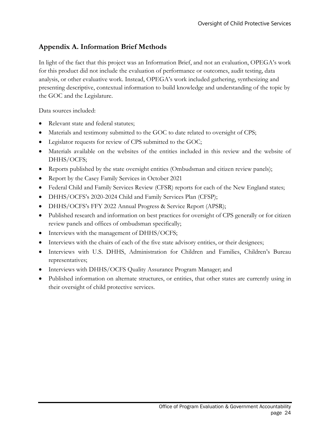## **Appendix A. Information Brief Methods**

In light of the fact that this project was an Information Brief, and not an evaluation, OPEGA's work for this product did not include the evaluation of performance or outcomes, audit testing, data analysis, or other evaluative work. Instead, OPEGA's work included gathering, synthesizing and presenting descriptive, contextual information to build knowledge and understanding of the topic by the GOC and the Legislature.

Data sources included:

- Relevant state and federal statutes;
- Materials and testimony submitted to the GOC to date related to oversight of CPS;
- Legislator requests for review of CPS submitted to the GOC;
- Materials available on the websites of the entities included in this review and the website of DHHS/OCFS;
- Reports published by the state oversight entities (Ombudsman and citizen review panels);
- Report by the Casey Family Services in October 2021
- Federal Child and Family Services Review (CFSR) reports for each of the New England states;
- DHHS/OCFS's 2020-2024 Child and Family Services Plan (CFSP);
- DHHS/OCFS's FFY 2022 Annual Progress & Service Report (APSR);
- Published research and information on best practices for oversight of CPS generally or for citizen review panels and offices of ombudsman specifically;
- Interviews with the management of DHHS/OCFS;
- Interviews with the chairs of each of the five state advisory entities, or their designees;
- Interviews with U.S. DHHS, Administration for Children and Families, Children's Bureau representatives;
- Interviews with DHHS/OCFS Quality Assurance Program Manager; and
- Published information on alternate structures, or entities, that other states are currently using in their oversight of child protective services.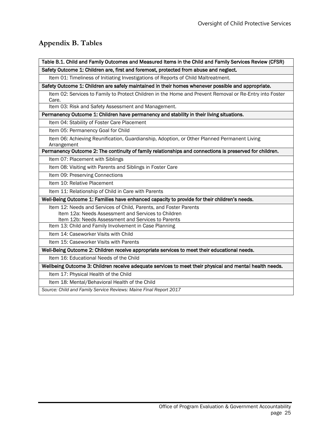## **Appendix B. Tables**

| Table B.1. Child and Family Outcomes and Measured Items in the Child and Family Services Review (CFSR)                                                                                                                                   |
|------------------------------------------------------------------------------------------------------------------------------------------------------------------------------------------------------------------------------------------|
| Safety Outcome 1: Children are, first and foremost, protected from abuse and neglect.                                                                                                                                                    |
| Item 01: Timeliness of Initiating Investigations of Reports of Child Maltreatment.                                                                                                                                                       |
| Safety Outcome 1: Children are safely maintained in their homes whenever possible and appropriate.                                                                                                                                       |
| Item 02: Services to Family to Protect Children in the Home and Prevent Removal or Re-Entry into Foster<br>Care.                                                                                                                         |
| Item 03: Risk and Safety Assessment and Management.                                                                                                                                                                                      |
| Permanency Outcome 1: Children have permanency and stability in their living situations.                                                                                                                                                 |
| Item 04: Stability of Foster Care Placement                                                                                                                                                                                              |
| Item 05: Permanency Goal for Child                                                                                                                                                                                                       |
| Item 06: Achieving Reunification, Guardianship, Adoption, or Other Planned Permanent Living<br>Arrangement                                                                                                                               |
| Permanency Outcome 2: The continuity of family relationships and connections is preserved for children.                                                                                                                                  |
| Item 07: Placement with Siblings                                                                                                                                                                                                         |
| Item 08: Visiting with Parents and Siblings in Foster Care                                                                                                                                                                               |
| Item 09: Preserving Connections                                                                                                                                                                                                          |
| Item 10: Relative Placement                                                                                                                                                                                                              |
| Item 11: Relationship of Child in Care with Parents                                                                                                                                                                                      |
| Well-Being Outcome 1: Families have enhanced capacity to provide for their children's needs.                                                                                                                                             |
| Item 12: Needs and Services of Child, Parents, and Foster Parents<br>Item 12a: Needs Assessment and Services to Children<br>Item 12b: Needs Assessment and Services to Parents<br>Item 13: Child and Family Involvement in Case Planning |
| Item 14: Caseworker Visits with Child                                                                                                                                                                                                    |
| Item 15: Caseworker Visits with Parents                                                                                                                                                                                                  |
| Well-Being Outcome 2: Children receive appropriate services to meet their educational needs.                                                                                                                                             |
| Item 16: Educational Needs of the Child                                                                                                                                                                                                  |
| Wellbeing Outcome 3: Children receive adequate services to meet their physical and mental health needs.                                                                                                                                  |
| Item 17: Physical Health of the Child                                                                                                                                                                                                    |
| Item 18: Mental/Behavioral Health of the Child                                                                                                                                                                                           |
| Source: Child and Family Service Reviews: Maine Final Report 2017                                                                                                                                                                        |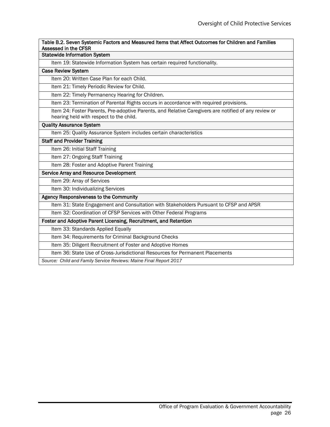### Table B.2. Seven Systemic Factors and Measured Items that Affect Outcomes for Children and Families Assessed in the CFSR

### Statewide Information System

Item 19: Statewide Information System has certain required functionality.

### Case Review System

Item 20: Written Case Plan for each Child.

Item 21: Timely Periodic Review for Child.

Item 22: Timely Permanency Hearing for Children.

Item 23: Termination of Parental Rights occurs in accordance with required provisions.

Item 24: Foster Parents, Pre-adoptive Parents, and Relative Caregivers are notified of any review or hearing held with respect to the child.

#### Quality Assurance System

Item 25: Quality Assurance System includes certain characteristics

#### Staff and Provider Training

Item 26: Initial Staff Training

Item 27: Ongoing Staff Training

Item 28: Foster and Adoptive Parent Training

### Service Array and Resource Development

Item 29: Array of Services

Item 30: Individualizing Services

#### Agency Responsiveness to the Community

Item 31: State Engagement and Consultation with Stakeholders Pursuant to CFSP and APSR

Item 32: Coordination of CFSP Services with Other Federal Programs

#### Foster and Adoptive Parent Licensing, Recruitment, and Retention

Item 33: Standards Applied Equally

Item 34: Requirements for Criminal Background Checks

Item 35: Diligent Recruitment of Foster and Adoptive Homes

Item 36: State Use of Cross-Jurisdictional Resources for Permanent Placements

*Source: Child and Family Service Reviews: Maine Final Report 2017*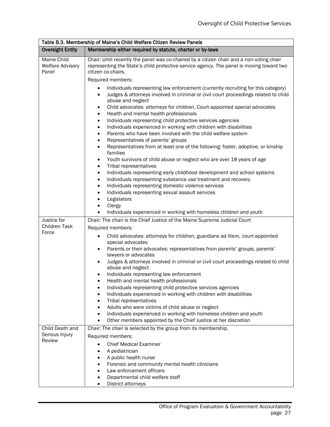| Table B.3. Membership of Maine's Child Welfare Citizen Review Panels |                                                                                                                                                                                                                                                                                                                                                                                                                                                                                                                                                                                                                                                                                                                                                                                                                                                                                                                                                                                                                                                                                                                                                                                                                                                                                                                                                  |  |  |
|----------------------------------------------------------------------|--------------------------------------------------------------------------------------------------------------------------------------------------------------------------------------------------------------------------------------------------------------------------------------------------------------------------------------------------------------------------------------------------------------------------------------------------------------------------------------------------------------------------------------------------------------------------------------------------------------------------------------------------------------------------------------------------------------------------------------------------------------------------------------------------------------------------------------------------------------------------------------------------------------------------------------------------------------------------------------------------------------------------------------------------------------------------------------------------------------------------------------------------------------------------------------------------------------------------------------------------------------------------------------------------------------------------------------------------|--|--|
| <b>Oversight Entity</b>                                              | Membership either required by statute, charter or by-laws                                                                                                                                                                                                                                                                                                                                                                                                                                                                                                                                                                                                                                                                                                                                                                                                                                                                                                                                                                                                                                                                                                                                                                                                                                                                                        |  |  |
| Maine Child<br><b>Welfare Advisory</b><br>Panel                      | Chair: Until recently the panel was co-chaired by a citizen chair and a non-voting chair<br>representing the State's child protective service agency. The panel is moving toward two<br>citizen co-chairs.<br>Required members:                                                                                                                                                                                                                                                                                                                                                                                                                                                                                                                                                                                                                                                                                                                                                                                                                                                                                                                                                                                                                                                                                                                  |  |  |
|                                                                      | Individuals representing law enforcement (currently recruiting for this category)<br>Judges & attorneys involved in criminal or civil court proceedings related to child<br>$\bullet$<br>abuse and neglect<br>Child advocates: attorneys for children, Court-appointed special advocates<br>$\bullet$<br>Health and mental health professionals<br>$\bullet$<br>Individuals representing child protective services agencies<br>٠<br>Individuals experienced in working with children with disabilities<br>$\bullet$<br>Parents who have been involved with the child welfare system<br>$\bullet$<br>Representatives of parents' groups<br>$\bullet$<br>Representatives from at least one of the following: foster, adoptive, or kinship<br>$\bullet$<br>families<br>Youth survivors of child abuse or neglect who are over 18 years of age<br>$\bullet$<br>Tribal representatives<br>$\bullet$<br>Individuals representing early childhood development and school systems<br>$\bullet$<br>Individuals representing substance use treatment and recovery<br>$\bullet$<br>Individuals representing domestic violence services<br>$\bullet$<br>Individuals representing sexual assault services<br>$\bullet$<br>Legislators<br>$\bullet$<br>Clergy<br>$\bullet$<br>Individuals experienced in working with homeless children and youth<br>$\bullet$ |  |  |
| Justice for<br>Children Task<br>Force                                | Chair: The chair is the Chief Justice of the Maine Supreme Judicial Court<br>Required members:<br>Child advocates: attorneys for children, guardians ad litem, court-appointed<br>special advocates<br>Parents or their advocates: representatives from parents' groups, parents'<br>$\bullet$<br>lawyers or advocates<br>Judges & attorneys involved in criminal or civil court proceedings related to child<br>$\bullet$<br>abuse and neglect<br>Individuals representing law enforcement<br>$\bullet$<br>Health and mental health professionals<br>Individuals representing child protective services agencies<br>$\bullet$<br>Individuals experienced in working with children with disabilities<br>$\bullet$<br>Tribal representatives<br>٠<br>Adults who were victims of child abuse or neglect<br>$\bullet$<br>Individuals experienced in working with homeless children and youth<br>Other members appointed by the Chief Justice at her discretion                                                                                                                                                                                                                                                                                                                                                                                      |  |  |
| Child Death and<br>Serious Injury<br>Review                          | Chair: The chair is selected by the group from its membership.<br>Required members:<br><b>Chief Medical Examiner</b><br>A pediatrician<br>A public health nurse<br>Forensic and community mental health clinicians<br>$\bullet$<br>Law enforcement officers<br>Departmental child welfare staff<br>District attorneys                                                                                                                                                                                                                                                                                                                                                                                                                                                                                                                                                                                                                                                                                                                                                                                                                                                                                                                                                                                                                            |  |  |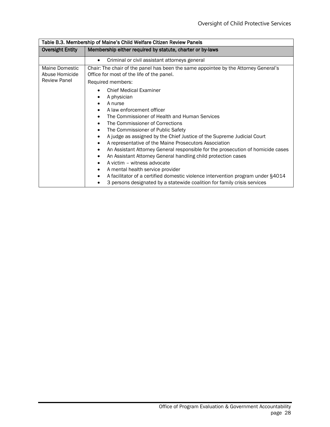| Table B.3. Membership of Maine's Child Welfare Citizen Review Panels |                                                                                                                                                                                                                                                                                                                                                                                                                                                                                                                                                                                                                                                                                                                                                                                                                                                                         |  |  |  |
|----------------------------------------------------------------------|-------------------------------------------------------------------------------------------------------------------------------------------------------------------------------------------------------------------------------------------------------------------------------------------------------------------------------------------------------------------------------------------------------------------------------------------------------------------------------------------------------------------------------------------------------------------------------------------------------------------------------------------------------------------------------------------------------------------------------------------------------------------------------------------------------------------------------------------------------------------------|--|--|--|
| <b>Oversight Entity</b>                                              | Membership either required by statute, charter or by-laws                                                                                                                                                                                                                                                                                                                                                                                                                                                                                                                                                                                                                                                                                                                                                                                                               |  |  |  |
|                                                                      | Criminal or civil assistant attorneys general<br>$\bullet$                                                                                                                                                                                                                                                                                                                                                                                                                                                                                                                                                                                                                                                                                                                                                                                                              |  |  |  |
| Maine Domestic<br>Abuse Homicide<br><b>Review Panel</b>              | Chair: The chair of the panel has been the same appointee by the Attorney General's<br>Office for most of the life of the panel.<br>Required members:                                                                                                                                                                                                                                                                                                                                                                                                                                                                                                                                                                                                                                                                                                                   |  |  |  |
|                                                                      | <b>Chief Medical Examiner</b><br>A physician<br>٠<br>A nurse<br>$\bullet$<br>A law enforcement officer<br>$\bullet$<br>The Commissioner of Health and Human Services<br>$\bullet$<br>The Commissioner of Corrections<br>$\bullet$<br>The Commissioner of Public Safety<br>$\bullet$<br>A judge as assigned by the Chief Justice of the Supreme Judicial Court<br>$\bullet$<br>A representative of the Maine Prosecutors Association<br>An Assistant Attorney General responsible for the prosecution of homicide cases<br>٠<br>An Assistant Attorney General handling child protection cases<br>٠<br>A victim - witness advocate<br>$\bullet$<br>A mental health service provider<br>$\bullet$<br>A facilitator of a certified domestic violence intervention program under §4014<br>٠<br>3 persons designated by a statewide coalition for family crisis services<br>٠ |  |  |  |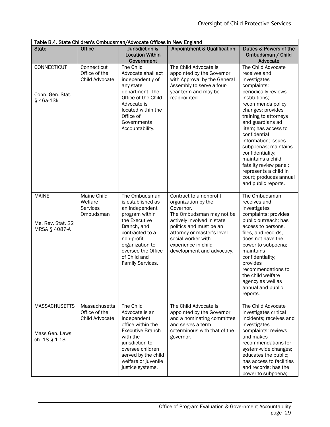| Table B.4. State Children's Ombudsman/Advocate Offices in New England |                                                        |                                                                                                                                                                                                                      |                                                                                                                                                                                                                                                          |                                                                                                                                                                                                                                                                                                                                                                                                                |  |
|-----------------------------------------------------------------------|--------------------------------------------------------|----------------------------------------------------------------------------------------------------------------------------------------------------------------------------------------------------------------------|----------------------------------------------------------------------------------------------------------------------------------------------------------------------------------------------------------------------------------------------------------|----------------------------------------------------------------------------------------------------------------------------------------------------------------------------------------------------------------------------------------------------------------------------------------------------------------------------------------------------------------------------------------------------------------|--|
| <b>State</b>                                                          | Office                                                 | Jurisdiction &<br><b>Location Within</b><br>Government                                                                                                                                                               | <b>Appointment &amp; Qualification</b>                                                                                                                                                                                                                   | Duties & Powers of the<br>Ombudsman / Child<br>Advocate                                                                                                                                                                                                                                                                                                                                                        |  |
| CONNECTICUT<br>Conn. Gen. Stat.<br>§ 46a-13k                          | Connecticut<br>Office of the<br>Child Advocate         | The Child<br>Advocate shall act<br>independently of<br>any state<br>department. The<br>Office of the Child<br>Advocate is<br>located within the<br>Office of<br>Governmental<br>Accountability.                      | The Child Advocate is<br>appointed by the Governor<br>with Approval by the General<br>Assembly to serve a four-<br>year term and may be<br>reappointed.                                                                                                  | The Child Advocate<br>receives and<br>investigates<br>complaints;<br>periodically reviews<br>institutions;<br>recommends policy<br>changes; provides<br>training to attorneys<br>and guardians ad<br>litem; has access to<br>confidential<br>information; issues<br>subpoenas; maintains<br>confidentiality;<br>maintains a child<br>fatality review panel;<br>represents a child in<br>court; produces annual |  |
| <b>MAINE</b><br>Me. Rev. Stat. 22<br>MRSA § 4087-A                    | Maine Child<br>Welfare<br><b>Services</b><br>Ombudsman | The Ombudsman<br>is established as<br>an independent<br>program within<br>the Executive<br>Branch, and<br>contracted to a<br>non-profit<br>organization to<br>oversee the Office<br>of Child and<br>Family Services. | Contract to a nonprofit<br>organization by the<br>Governor.<br>The Ombudsman may not be<br>actively involved in state<br>politics and must be an<br>attorney or master's level<br>social worker with<br>experience in child<br>development and advocacy. | and public reports.<br>The Ombudsman<br>receives and<br>investigates<br>complaints; provides<br>public outreach; has<br>access to persons,<br>files, and records,<br>does not have the<br>power to subpoena;<br>maintains<br>confidentiality;<br>provides<br>recommendations to<br>the child welfare<br>agency as well as<br>annual and public<br>reports.                                                     |  |
| <b>MASSACHUSETTS</b><br>Mass Gen. Laws<br>ch. 18 § 1-13               | Massachusetts<br>Office of the<br>Child Advocate       | The Child<br>Advocate is an<br>independent<br>office within the<br><b>Executive Branch</b><br>with the<br>jurisdiction to<br>oversee children<br>served by the child<br>welfare or juvenile<br>justice systems.      | The Child Advocate is<br>appointed by the Governor<br>and a nominating committee<br>and serves a term<br>coterminous with that of the<br>governor.                                                                                                       | The Child Advocate<br>investigates critical<br>incidents; receives and<br>investigates<br>complaints; reviews<br>and makes<br>recommendations for<br>system-wide changes;<br>educates the public;<br>has access to facilities<br>and records; has the<br>power to subpoena;                                                                                                                                    |  |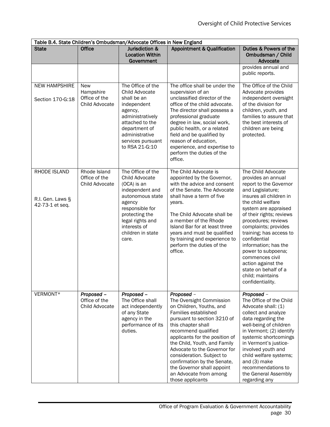| Table B.4. State Children's Ombudsman/Advocate Offices in New England |                                                            |                                                                                                                                                                                                            |                                                                                                                                                                                                                                                                                                                                                                                                                  |                                                                                                                                                                                                                                                                                                                                                                                                                                             |  |
|-----------------------------------------------------------------------|------------------------------------------------------------|------------------------------------------------------------------------------------------------------------------------------------------------------------------------------------------------------------|------------------------------------------------------------------------------------------------------------------------------------------------------------------------------------------------------------------------------------------------------------------------------------------------------------------------------------------------------------------------------------------------------------------|---------------------------------------------------------------------------------------------------------------------------------------------------------------------------------------------------------------------------------------------------------------------------------------------------------------------------------------------------------------------------------------------------------------------------------------------|--|
| <b>State</b>                                                          | Office                                                     | Jurisdiction &<br><b>Location Within</b><br>Government                                                                                                                                                     | <b>Appointment &amp; Qualification</b>                                                                                                                                                                                                                                                                                                                                                                           | Duties & Powers of the<br>Ombudsman / Child<br>Advocate                                                                                                                                                                                                                                                                                                                                                                                     |  |
|                                                                       |                                                            |                                                                                                                                                                                                            |                                                                                                                                                                                                                                                                                                                                                                                                                  | provides annual and<br>public reports.                                                                                                                                                                                                                                                                                                                                                                                                      |  |
| <b>NEW HAMPSHIRE</b><br>Section 170-G:18                              | <b>New</b><br>Hampshire<br>Office of the<br>Child Advocate | The Office of the<br>Child Advocate<br>shall be an<br>independent<br>agency,<br>administratively<br>attached to the<br>department of<br>administrative<br>services pursuant<br>to RSA 21-G:10              | The office shall be under the<br>supervision of an<br>unclassified director of the<br>office of the child advocate.<br>The director shall possess a<br>professional graduate<br>degree in law, social work,<br>public health, or a related<br>field and be qualified by<br>reason of education,<br>experience, and expertise to<br>perform the duties of the<br>office.                                          | The Office of the Child<br>Advocate provides<br>independent oversight<br>of the division for<br>children, youth, and<br>families to assure that<br>the best interests of<br>children are being<br>protected.                                                                                                                                                                                                                                |  |
| RHODE ISLAND<br>R.I. Gen. Laws §<br>42-73-1 et seq.                   | Rhode Island<br>Office of the<br>Child Advocate            | The Office of the<br>Child Advocate<br>(OCA) is an<br>independent and<br>autonomous state<br>agency<br>responsible for<br>protecting the<br>legal rights and<br>interests of<br>children in state<br>care. | The Child Advocate is<br>appointed by the Governor,<br>with the advice and consent<br>of the Senate. The Advocate<br>shall have a term of five<br>years.<br>The Child Advocate shall be<br>a member of the Rhode<br>Island Bar for at least three<br>years and must be qualified<br>by training and experience to<br>perform the duties of the<br>office.                                                        | The Child Advocate<br>provides an annual<br>report to the Governor<br>and Legislature;<br>insures all children in<br>the child welfare<br>system are appraised<br>of their rights; reviews<br>procedures; reviews<br>complaints; provides<br>training; has access to<br>confidential<br>information; has the<br>power to subpoena;<br>commences civil<br>action against the<br>state on behalf of a<br>child; maintains<br>confidentiality. |  |
| VERMONT*                                                              | Proposed -<br>Office of the<br>Child Advocate              | Proposed -<br>The Office shall<br>act independently<br>of any State<br>agency in the<br>performance of its<br>duties.                                                                                      | Proposed -<br>The Oversight Commission<br>on Children, Youths, and<br>Families established<br>pursuant to section 3210 of<br>this chapter shall<br>recommend qualified<br>applicants for the position of<br>the Child, Youth, and Family<br>Advocate to the Governor for<br>consideration. Subject to<br>confirmation by the Senate,<br>the Governor shall appoint<br>an Advocate from among<br>those applicants | Proposed -<br>The Office of the Child<br>Advocate shall: (1)<br>collect and analyze<br>data regarding the<br>well-being of children<br>in Vermont; (2) identify<br>systemic shortcomings<br>in Vermont's justice-<br>involved youth and<br>child welfare systems;<br>and (3) make<br>recommendations to<br>the General Assembly<br>regarding any                                                                                            |  |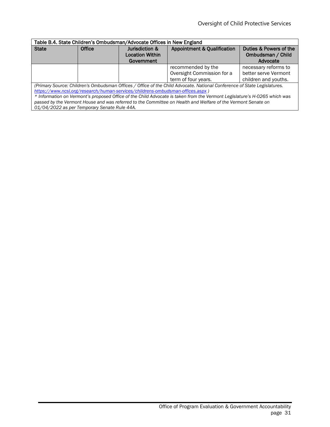| Table B.4. State Children's Ombudsman/Advocate Offices in New England                                                     |               |                                                        |                                        |                                                         |  |
|---------------------------------------------------------------------------------------------------------------------------|---------------|--------------------------------------------------------|----------------------------------------|---------------------------------------------------------|--|
| <b>State</b>                                                                                                              | <b>Office</b> | Jurisdiction &<br><b>Location Within</b><br>Government | <b>Appointment &amp; Qualification</b> | Duties & Powers of the<br>Ombudsman / Child<br>Advocate |  |
|                                                                                                                           |               |                                                        | recommended by the                     | necessary reforms to                                    |  |
|                                                                                                                           |               |                                                        | Oversight Commission for a             | better serve Vermont                                    |  |
|                                                                                                                           |               |                                                        | term of four years.                    | children and youths.                                    |  |
| (Primary Source: Children's Ombudsman Offices / Office of the Child Advocate. National Conference of State Legislatures.  |               |                                                        |                                        |                                                         |  |
| https://www.ncsl.org/research/human-services/childrens-ombudsman-offices.aspx)                                            |               |                                                        |                                        |                                                         |  |
| * Information on Vermont's proposed Office of the Child Advocate is taken from the Vermont Legislature's H-0265 which was |               |                                                        |                                        |                                                         |  |
| passed by the Vermont House and was referred to the Committee on Health and Welfare of the Vermont Senate on              |               |                                                        |                                        |                                                         |  |
| 01/04/2022 as per Temporary Senate Rule 44A.                                                                              |               |                                                        |                                        |                                                         |  |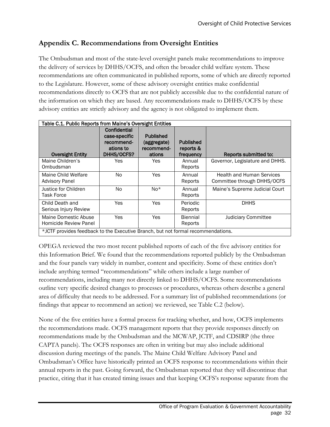## **Appendix C. Recommendations from Oversight Entities**

The Ombudsman and most of the state-level oversight panels make recommendations to improve the delivery of services by DHHS/OCFS, and often the broader child welfare system. These recommendations are often communicated in published reports, some of which are directly reported to the Legislature. However, some of these advisory oversight entities make confidential recommendations directly to OCFS that are not publicly accessible due to the confidential nature of the information on which they are based. Any recommendations made to DHHS/OCFS by these advisory entities are strictly advisory and the agency is not obligated to implement them.

| Table C.1. Public Reports from Maine's Oversight Entities                        |                                                                        |                                                         |                                            |                                                                 |  |
|----------------------------------------------------------------------------------|------------------------------------------------------------------------|---------------------------------------------------------|--------------------------------------------|-----------------------------------------------------------------|--|
| <b>Oversight Entity</b>                                                          | Confidential<br>case-specific<br>recommend-<br>ations to<br>DHHS/OCFS? | <b>Published</b><br>(aggregate)<br>recommend-<br>ations | <b>Published</b><br>reports &<br>frequency | Reports submitted to:                                           |  |
| Maine Children's<br>Ombudsman                                                    | Yes.                                                                   | Yes.                                                    | Annual<br>Reports                          | Governor, Legislature and DHHS.                                 |  |
| Maine Child Welfare<br><b>Advisory Panel</b>                                     | No.                                                                    | Yes                                                     | Annual<br>Reports                          | <b>Health and Human Services</b><br>Committee through DHHS/OCFS |  |
| Justice for Children<br><b>Task Force</b>                                        | No.                                                                    | $No*$                                                   | Annual<br>Reports                          | Maine's Supreme Judicial Court                                  |  |
| Child Death and<br>Serious Injury Review                                         | Yes                                                                    | Yes                                                     | Periodic<br>Reports                        | <b>DHHS</b>                                                     |  |
| Maine Domestic Abuse<br>Homicide Review Panel                                    | Yes.                                                                   | Yes                                                     | <b>Biennial</b><br>Reports                 | <b>Judiciary Committee</b>                                      |  |
| *JCTF provides feedback to the Executive Branch, but not formal recommendations. |                                                                        |                                                         |                                            |                                                                 |  |

OPEGA reviewed the two most recent published reports of each of the five advisory entities for this Information Brief. We found that the recommendations reported publicly by the Ombudsman and the four panels vary widely in number, content and specificity. Some of these entities don't include anything termed "recommendations" while others include a large number of recommendations, including many not directly linked to DHHS/OCFS. Some recommendations outline very specific desired changes to processes or procedures, whereas others describe a general area of difficulty that needs to be addressed. For a summary list of published recommendations (or findings that appear to recommend an action) we reviewed, see Table C.2 (below).

None of the five entities have a formal process for tracking whether, and how, OCFS implements the recommendations made. OCFS management reports that they provide responses directly on recommendations made by the Ombudsman and the MCWAP, JCTF, and CDSIRP (the three CAPTA panels). The OCFS responses are often in writing but may also include additional discussion during meetings of the panels. The Maine Child Welfare Advisory Panel and Ombudsman's Office have historically printed an OCFS response to recommendations within their annual reports in the past. Going forward, the Ombudsman reported that they will discontinue that practice, citing that it has created timing issues and that keeping OCFS's response separate from the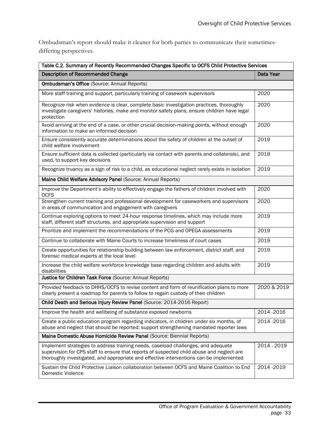Ombudsman's report should make it cleaner for both parties to communicate their sometimesdiffering perspectives.

| Table C.2. Summary of Recently Recommended Changes Specific to OCFS Child Protective Services                                                                                                                                                                             |             |  |  |  |
|---------------------------------------------------------------------------------------------------------------------------------------------------------------------------------------------------------------------------------------------------------------------------|-------------|--|--|--|
| <b>Description of Recommended Change</b>                                                                                                                                                                                                                                  | Data Year   |  |  |  |
| <b>Ombudsman's Office (Source: Annual Reports)</b>                                                                                                                                                                                                                        |             |  |  |  |
| More staff training and support, particularly training of casework supervisors                                                                                                                                                                                            | 2020        |  |  |  |
| Recognize risk when evidence is clear, complete basic investigation practices, thoroughly<br>investigate caregivers' histories, make and monitor safety plans, ensure children have legal<br>protection                                                                   | 2020        |  |  |  |
| Avoid arriving at the end of a case, or other crucial decision-making points, without enough<br>information to make an informed decision                                                                                                                                  | 2020        |  |  |  |
| Ensure consistently accurate determinations about the safety of children at the outset of<br>child welfare involvement                                                                                                                                                    | 2019        |  |  |  |
| Ensure sufficient data is collected (particularly via contact with parents and collaterals), and<br>used, to support key decisions                                                                                                                                        | 2019        |  |  |  |
| Recognize truancy as a sign of risk to a child, as educational neglect rarely exists in isolation                                                                                                                                                                         | 2019        |  |  |  |
| Maine Child Welfare Advisory Panel (Source: Annual Reports)                                                                                                                                                                                                               |             |  |  |  |
| Improve the Department's ability to effectively engage the fathers of children involved with<br><b>OCFS</b>                                                                                                                                                               | 2020        |  |  |  |
| Strengthen current training and professional development for caseworkers and supervisors<br>in areas of communication and engagement with caregivers                                                                                                                      | 2020        |  |  |  |
| Continue exploring options to meet 24-hour response timelines, which may include more<br>staff, different staff structures, and appropriate supervision and support                                                                                                       | 2019        |  |  |  |
| Prioritize and implement the recommendations of the PCG and OPEGA assessments                                                                                                                                                                                             | 2019        |  |  |  |
| Continue to collaborate with Maine Courts to increase timeliness of court cases                                                                                                                                                                                           | 2019        |  |  |  |
| Create opportunities for relationship building between law enforcement, district staff, and<br>forensic medical experts at the local level                                                                                                                                | 2019        |  |  |  |
| Increase the child welfare workforce knowledge base regarding children and adults with<br>disabilities                                                                                                                                                                    | 2019        |  |  |  |
| Justice for Children Task Force (Source: Annual Reports)                                                                                                                                                                                                                  |             |  |  |  |
| Provided feedback to DHHS/OCFS to revise content and form of reunification plans to more<br>clearly present a roadmap for parents to follow to regain custody of their children                                                                                           | 2020 & 2019 |  |  |  |
| Child Death and Serious Injury Review Panel (Source: 2014-2016 Report)                                                                                                                                                                                                    |             |  |  |  |
| Improve the health and wellbeing of substance exposed newborns                                                                                                                                                                                                            | 2014 - 2016 |  |  |  |
| Create a public education program regarding indicators, in children under six months, of<br>abuse and neglect that should be reported; support strengthening mandated reporter laws                                                                                       | 2014 - 2016 |  |  |  |
| Maine Domestic Abuse Homicide Review Panel (Source: Biennial Reports)                                                                                                                                                                                                     |             |  |  |  |
| Implement strategies to address training needs, caseload challenges, and adequate<br>supervision for CPS staff to ensure that reports of suspected child abuse and neglect are<br>thoroughly investigated, and appropriate and effective interventions can be implemented | 2014 - 2019 |  |  |  |
| Sustain the Child Protective Liaison collaboration between OCFS and Maine Coalition to End<br>Domestic Violence                                                                                                                                                           | 2014 - 2019 |  |  |  |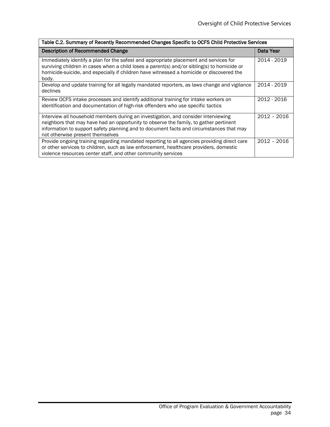| Table C.2. Summary of Recently Recommended Changes Specific to OCFS Child Protective Services                                                                                                                                                                                                              |               |  |  |  |
|------------------------------------------------------------------------------------------------------------------------------------------------------------------------------------------------------------------------------------------------------------------------------------------------------------|---------------|--|--|--|
| <b>Description of Recommended Change</b>                                                                                                                                                                                                                                                                   | Data Year     |  |  |  |
| Immediately identify a plan for the safest and appropriate placement and services for<br>surviving children in cases when a child loses a parent(s) and/or sibling(s) to homicide or<br>homicide-suicide, and especially if children have witnessed a homicide or discovered the<br>body.                  | 2014 - 2019   |  |  |  |
| Develop and update training for all legally mandated reporters, as laws change and vigilance<br>declines                                                                                                                                                                                                   | 2014 - 2019   |  |  |  |
| Review OCFS intake processes and identify additional training for intake workers on<br>identification and documentation of high-risk offenders who use specific tactics                                                                                                                                    | 2012 - 2016   |  |  |  |
| Interview all household members during an investigation, and consider interviewing<br>neighbors that may have had an opportunity to observe the family, to gather pertinent<br>information to support safety planning and to document facts and circumstances that may<br>not otherwise present themselves | $2012 - 2016$ |  |  |  |
| Provide ongoing training regarding mandated reporting to all agencies providing direct care<br>or other services to children, such as law enforcement, healthcare providers, domestic<br>violence resources center staff, and other community services                                                     | $2012 - 2016$ |  |  |  |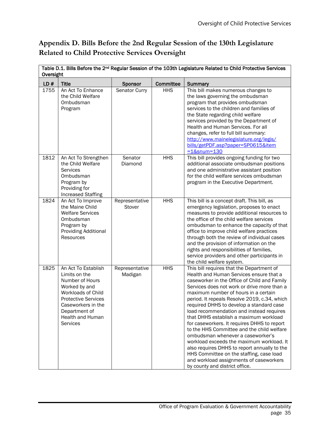## **Appendix D. Bills Before the 2nd Regular Session of the 130th Legislature Related to Child Protective Services Oversight**

| Table D.1. Bills Before the 2 <sup>nd</sup> Regular Session of the 103th Legislature Related to Child Protective Services<br>Oversight |                                                                                                                                                                                                            |                           |            |                                                                                                                                                                                                                                                                                                                                                                                                                                                                                                                                                                                                                                                                                                                                                                       |  |
|----------------------------------------------------------------------------------------------------------------------------------------|------------------------------------------------------------------------------------------------------------------------------------------------------------------------------------------------------------|---------------------------|------------|-----------------------------------------------------------------------------------------------------------------------------------------------------------------------------------------------------------------------------------------------------------------------------------------------------------------------------------------------------------------------------------------------------------------------------------------------------------------------------------------------------------------------------------------------------------------------------------------------------------------------------------------------------------------------------------------------------------------------------------------------------------------------|--|
| LD#                                                                                                                                    | <b>Title</b>                                                                                                                                                                                               | Sponsor                   | Committee  | Summary                                                                                                                                                                                                                                                                                                                                                                                                                                                                                                                                                                                                                                                                                                                                                               |  |
| 1755                                                                                                                                   | An Act To Enhance<br>the Child Welfare<br>Ombudsman<br>Program                                                                                                                                             | Senator Curry             | <b>HHS</b> | This bill makes numerous changes to<br>the laws governing the ombudsman<br>program that provides ombudsman<br>services to the children and families of<br>the State regarding child welfare<br>services provided by the Department of<br>Health and Human Services. For all<br>changes, refer to full bill summary:<br>http://www.mainelegislature.org/legis/<br>bills/getPDF.asp?paper=SP0615&item<br>$=1$ &snum=130                                                                                                                                                                                                                                                                                                                                                 |  |
| 1812                                                                                                                                   | An Act To Strengthen<br>the Child Welfare<br><b>Services</b><br>Ombudsman<br>Program by<br>Providing for<br><b>Increased Staffing</b>                                                                      | Senator<br>Diamond        | <b>HHS</b> | This bill provides ongoing funding for two<br>additional associate ombudsman positions<br>and one administrative assistant position<br>for the child welfare services ombudsman<br>program in the Executive Department.                                                                                                                                                                                                                                                                                                                                                                                                                                                                                                                                               |  |
| 1824                                                                                                                                   | An Act To Improve<br>the Maine Child<br><b>Welfare Services</b><br>Ombudsman<br>Program by<br><b>Providing Additional</b><br>Resources                                                                     | Representative<br>Stover  | <b>HHS</b> | This bill is a concept draft. This bill, as<br>emergency legislation, proposes to enact<br>measures to provide additional resources to<br>the office of the child welfare services<br>ombudsman to enhance the capacity of that<br>office to improve child welfare practices<br>through both the review of individual cases<br>and the provision of information on the<br>rights and responsibilities of families,<br>service providers and other participants in<br>the child welfare system.                                                                                                                                                                                                                                                                        |  |
| 1825                                                                                                                                   | An Act To Establish<br>Limits on the<br>Number of Hours<br>Worked by and<br>Workloads of Child<br><b>Protective Services</b><br>Caseworkers in the<br>Department of<br>Health and Human<br><b>Services</b> | Representative<br>Madigan | <b>HHS</b> | This bill requires that the Department of<br>Health and Human Services ensure that a<br>caseworker in the Office of Child and Family<br>Services does not work or drive more than a<br>maximum number of hours in a certain<br>period. It repeals Resolve 2019, c.34, which<br>required DHHS to develop a standard case<br>load recommendation and instead requires<br>that DHHS establish a maximum workload<br>for caseworkers. It requires DHHS to report<br>to the HHS Committee and the child welfare<br>ombudsman whenever a caseworker's<br>workload exceeds the maximum workload. It<br>also requires DHHS to report annually to the<br>HHS Committee on the staffing, case load<br>and workload assignments of caseworkers<br>by county and district office. |  |